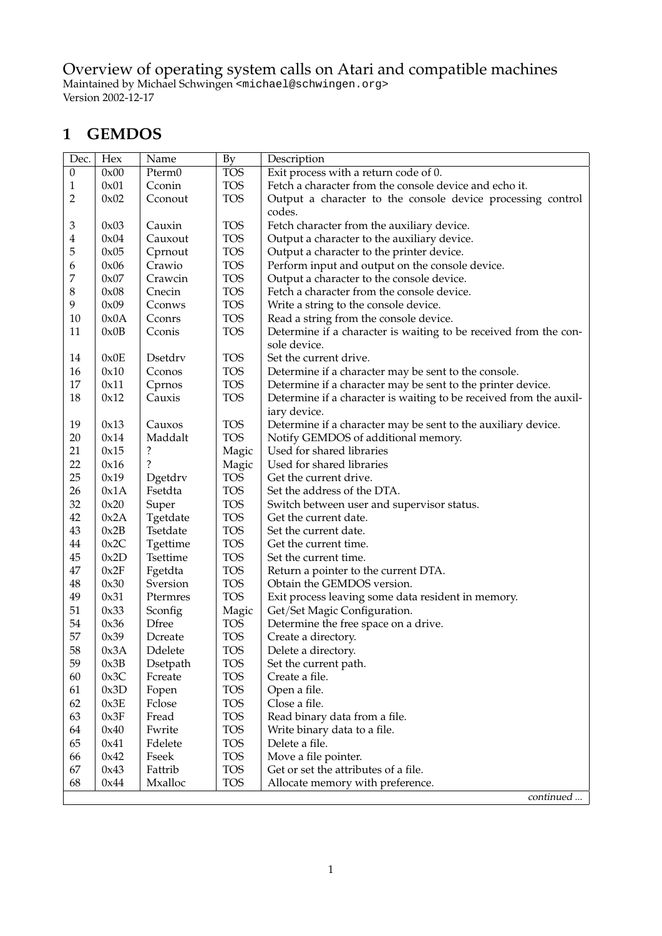Overview of operating system calls on Atari and compatible machines Maintained by Michael Schwingen <michael@schwingen.org> Version 2002-12-17

#### **1 GEMDOS**

| Dec.             | Hex  | Name         | By         | Description                                                        |
|------------------|------|--------------|------------|--------------------------------------------------------------------|
| $\boldsymbol{0}$ | 0x00 | Pterm0       | <b>TOS</b> | Exit process with a return code of 0.                              |
| 1                | 0x01 | Cconin       | <b>TOS</b> | Fetch a character from the console device and echo it.             |
| 2                | 0x02 | Cconout      | <b>TOS</b> | Output a character to the console device processing control        |
|                  |      |              |            | codes.                                                             |
| 3                | 0x03 | Cauxin       | <b>TOS</b> | Fetch character from the auxiliary device.                         |
| 4                | 0x04 | Cauxout      | <b>TOS</b> | Output a character to the auxiliary device.                        |
| 5                | 0x05 | Cprnout      | <b>TOS</b> | Output a character to the printer device.                          |
| 6                | 0x06 | Crawio       | <b>TOS</b> | Perform input and output on the console device.                    |
| $\boldsymbol{7}$ | 0x07 | Crawcin      | <b>TOS</b> | Output a character to the console device.                          |
| 8                | 0x08 | Cnecin       | <b>TOS</b> | Fetch a character from the console device.                         |
| 9                | 0x09 | Cconws       | <b>TOS</b> | Write a string to the console device.                              |
| 10               | 0x0A | Cconrs       | <b>TOS</b> | Read a string from the console device.                             |
| 11               | 0x0B | Cconis       | <b>TOS</b> | Determine if a character is waiting to be received from the con-   |
|                  |      |              |            | sole device.                                                       |
| 14               | 0x0E | Dsetdry      | <b>TOS</b> | Set the current drive.                                             |
| 16               | 0x10 | Cconos       | <b>TOS</b> | Determine if a character may be sent to the console.               |
| 17               | 0x11 | Cprnos       | <b>TOS</b> | Determine if a character may be sent to the printer device.        |
| 18               | 0x12 | Cauxis       | <b>TOS</b> | Determine if a character is waiting to be received from the auxil- |
|                  |      |              |            | iary device.                                                       |
| 19               | 0x13 | Cauxos       | <b>TOS</b> | Determine if a character may be sent to the auxiliary device.      |
| 20               | 0x14 | Maddalt      | <b>TOS</b> | Notify GEMDOS of additional memory.                                |
| 21               | 0x15 | ?            | Magic      | Used for shared libraries                                          |
| 22               | 0x16 | ?            | Magic      | Used for shared libraries                                          |
| 25               | 0x19 | Dgetdrv      | <b>TOS</b> | Get the current drive.                                             |
| 26               | 0x1A | Fsetdta      | <b>TOS</b> | Set the address of the DTA.                                        |
| 32               | 0x20 | Super        | <b>TOS</b> | Switch between user and supervisor status.                         |
| 42               | 0x2A | Tgetdate     | <b>TOS</b> | Get the current date.                                              |
| 43               | 0x2B | Tsetdate     | <b>TOS</b> | Set the current date.                                              |
| 44               | 0x2C | Tgettime     | <b>TOS</b> | Get the current time.                                              |
| 45               | 0x2D | Tsettime     | <b>TOS</b> | Set the current time.                                              |
| 47               | 0x2F | Fgetdta      | <b>TOS</b> | Return a pointer to the current DTA.                               |
| 48               | 0x30 | Sversion     | <b>TOS</b> | Obtain the GEMDOS version.                                         |
| 49               | 0x31 | Ptermres     | <b>TOS</b> | Exit process leaving some data resident in memory.                 |
| 51               | 0x33 | Sconfig      | Magic      | Get/Set Magic Configuration.                                       |
| 54               | 0x36 | <b>Dfree</b> | <b>TOS</b> | Determine the free space on a drive.                               |
| 57               | 0x39 | Dcreate      | <b>TOS</b> | Create a directory.                                                |
| 58               | 0x3A | Ddelete      | <b>TOS</b> | Delete a directory.                                                |
| 59               | 0x3B | Dsetpath     | <b>TOS</b> | Set the current path.                                              |
| 60               | 0x3C | Fcreate      | <b>TOS</b> | Create a file.                                                     |
| 61               | 0x3D | Fopen        | <b>TOS</b> | Open a file.                                                       |
| 62               | 0x3E | Fclose       | <b>TOS</b> | Close a file.                                                      |
| 63               | 0x3F | Fread        | <b>TOS</b> | Read binary data from a file.                                      |
| 64               | 0x40 | Fwrite       | <b>TOS</b> | Write binary data to a file.                                       |
| 65               | 0x41 | Fdelete      | <b>TOS</b> | Delete a file.                                                     |
| 66               | 0x42 | Fseek        | <b>TOS</b> | Move a file pointer.                                               |
| 67               | 0x43 | Fattrib      | <b>TOS</b> | Get or set the attributes of a file.                               |
| 68               | 0x44 | Mxalloc      | <b>TOS</b> | Allocate memory with preference.                                   |
|                  |      |              |            | continued                                                          |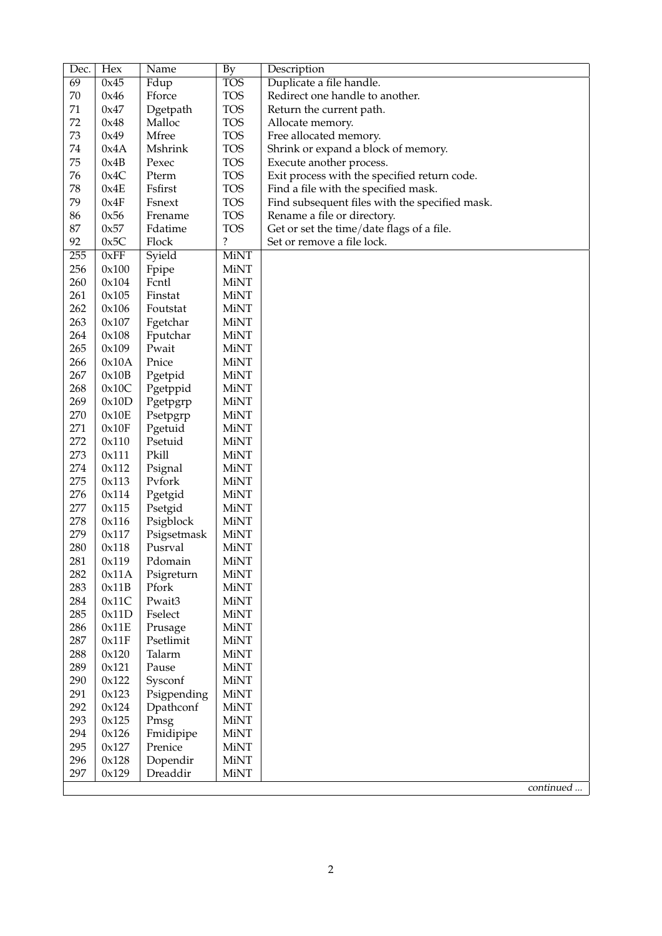| Dec.       | Hex            | Name                   | By                         | Description                                    |
|------------|----------------|------------------------|----------------------------|------------------------------------------------|
| 69         | 0x45           | Fdup                   | <b>TOS</b>                 | Duplicate a file handle.                       |
| 70         | 0x46           | Fforce                 | <b>TOS</b>                 | Redirect one handle to another.                |
| 71         | 0x47           | Dgetpath               | <b>TOS</b>                 | Return the current path.                       |
| 72         | 0x48           | Malloc                 | <b>TOS</b>                 | Allocate memory.                               |
| 73         | 0x49           | Mfree                  | <b>TOS</b>                 | Free allocated memory.                         |
| 74         | 0x4A           | Mshrink                | <b>TOS</b>                 | Shrink or expand a block of memory.            |
| 75         | 0x4B           | Pexec                  | <b>TOS</b>                 | Execute another process.                       |
| 76         | 0x4C           | Pterm                  | <b>TOS</b>                 | Exit process with the specified return code.   |
| 78         | 0x4E           | Fsfirst                | <b>TOS</b>                 | Find a file with the specified mask.           |
| 79         | 0x4F           | Fsnext                 | <b>TOS</b>                 | Find subsequent files with the specified mask. |
| 86         | 0x56           | Frename                | <b>TOS</b>                 | Rename a file or directory.                    |
| 87         | 0x57           | Fdatime                | <b>TOS</b>                 | Get or set the time/date flags of a file.      |
| 92         | 0x5C           | Flock                  | $\ddot{\cdot}$             | Set or remove a file lock.                     |
| 255        | 0xFF           | Syield                 | <b>MiNT</b>                |                                                |
| 256        | 0x100          | Fpipe                  | <b>MiNT</b>                |                                                |
| 260        | 0x104          | Fcntl                  | <b>MiNT</b>                |                                                |
| 261        | 0x105          | Finstat                | <b>MiNT</b>                |                                                |
| 262        | 0x106          | Foutstat               | <b>MiNT</b>                |                                                |
| 263        | 0x107          | Fgetchar               | <b>MiNT</b>                |                                                |
| 264        | 0x108          | Fputchar               | <b>MiNT</b>                |                                                |
| 265        | 0x109          | Pwait                  | MiNT                       |                                                |
| 266        | 0x10A          | Pnice                  | <b>MiNT</b>                |                                                |
| 267        | 0x10B          | Pgetpid                | <b>MiNT</b>                |                                                |
| 268        | 0x10C          |                        | <b>MiNT</b>                |                                                |
| 269        | 0x10D          | Pgetppid               | <b>MiNT</b>                |                                                |
| 270        |                | Pgetpgrp               | <b>MiNT</b>                |                                                |
| 271        | 0x10E<br>0x10F | Psetpgrp               | <b>MiNT</b>                |                                                |
| 272        |                | Pgetuid<br>Psetuid     | <b>MiNT</b>                |                                                |
| 273        | 0x110          | Pkill                  | <b>MiNT</b>                |                                                |
| 274        | 0x111          |                        | <b>MiNT</b>                |                                                |
| 275        | 0x112<br>0x113 | Psignal<br>Pvfork      | <b>MiNT</b>                |                                                |
| 276        |                |                        | <b>MiNT</b>                |                                                |
| 277        | 0x114          | Pgetgid                | <b>MiNT</b>                |                                                |
| 278        | 0x115          | Psetgid                | <b>MiNT</b>                |                                                |
| 279        | 0x116          | Psigblock              | <b>MiNT</b>                |                                                |
| 280        | 0x117          | Psigsetmask<br>Pusrval | <b>MiNT</b>                |                                                |
|            | 0x118          |                        |                            |                                                |
| 281<br>282 | 0x119<br>0x11A | Pdomain                | MiNT                       |                                                |
| 283        | 0x11B          | Psigreturn<br>Pfork    | <b>MiNT</b><br><b>MiNT</b> |                                                |
| 284        | 0x11C          | Pwait3                 | <b>MiNT</b>                |                                                |
| 285        | 0x11D          | Fselect                | <b>MiNT</b>                |                                                |
| 286        |                |                        | <b>MiNT</b>                |                                                |
| 287        | 0x11E<br>0x11F | Prusage<br>Psetlimit   | <b>MiNT</b>                |                                                |
|            |                |                        |                            |                                                |
| 288        | 0x120          | Talarm                 | <b>MiNT</b>                |                                                |
| 289        | 0x121          | Pause                  | <b>MiNT</b><br><b>MiNT</b> |                                                |
| 290        | 0x122          | Sysconf                |                            |                                                |
| 291        | 0x123          | Psigpending            | <b>MiNT</b>                |                                                |
| 292        | 0x124          | Dpathconf              | <b>MiNT</b>                |                                                |
| 293        | 0x125          | Pmsg                   | <b>MiNT</b>                |                                                |
| 294        | 0x126          | Fmidipipe              | <b>MiNT</b>                |                                                |
| 295        | 0x127          | Prenice                | <b>MiNT</b>                |                                                |
| 296        | 0x128          | Dopendir               | <b>MiNT</b>                |                                                |
| 297        | 0x129          | Dreaddir               | <b>MiNT</b>                |                                                |
|            |                |                        |                            | continued                                      |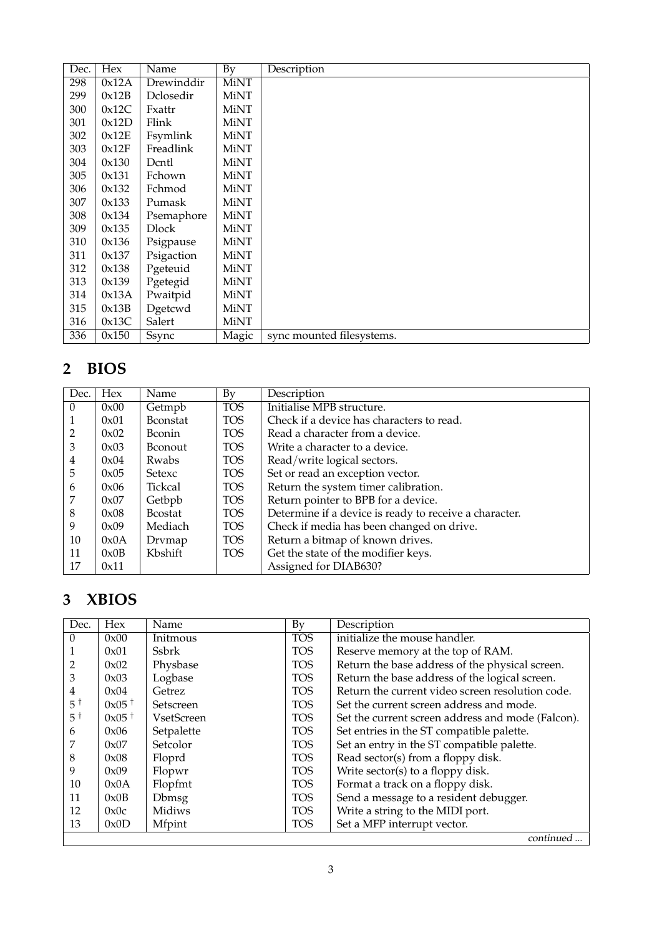| Dec. | Hex   | Name         | By          | Description               |
|------|-------|--------------|-------------|---------------------------|
| 298  | 0x12A | Drewinddir   | <b>MiNT</b> |                           |
| 299  | 0x12B | Dclosedir    | MiNT        |                           |
| 300  | 0x12C | Fxattr       | <b>MiNT</b> |                           |
| 301  | 0x12D | Flink        | <b>MiNT</b> |                           |
| 302  | 0x12E | Fsymlink     | <b>MiNT</b> |                           |
| 303  | 0x12F | Freadlink    | <b>MiNT</b> |                           |
| 304  | 0x130 | Dcntl        | <b>MiNT</b> |                           |
| 305  | 0x131 | Fchown       | <b>MiNT</b> |                           |
| 306  | 0x132 | Fchmod       | <b>MiNT</b> |                           |
| 307  | 0x133 | Pumask       | <b>MiNT</b> |                           |
| 308  | 0x134 | Psemaphore   | MiNT        |                           |
| 309  | 0x135 | <b>Dlock</b> | <b>MiNT</b> |                           |
| 310  | 0x136 | Psigpause    | MiNT        |                           |
| 311  | 0x137 | Psigaction   | <b>MiNT</b> |                           |
| 312  | 0x138 | Pgeteuid     | MiNT        |                           |
| 313  | 0x139 | Pgetegid     | <b>MiNT</b> |                           |
| 314  | 0x13A | Pwaitpid     | MiNT        |                           |
| 315  | 0x13B | Dgetcwd      | MiNT        |                           |
| 316  | 0x13C | Salert       | MiNT        |                           |
| 336  | 0x150 | Ssync        | Magic       | sync mounted filesystems. |

## **2 BIOS**

| Dec.           | <b>Hex</b> | Name             | By         | Description                                            |
|----------------|------------|------------------|------------|--------------------------------------------------------|
| $\Omega$       | 0x00       | Getmpb           | <b>TOS</b> | Initialise MPB structure.                              |
|                | 0x01       | <b>B</b> constat | <b>TOS</b> | Check if a device has characters to read.              |
| $\overline{2}$ | 0x02       | <b>B</b> conin   | <b>TOS</b> | Read a character from a device.                        |
| 3              | 0x03       | <b>B</b> conout  | <b>TOS</b> | Write a character to a device.                         |
| 4              | 0x04       | Rwabs            | TOS        | Read/write logical sectors.                            |
| 5              | 0x05       | Setexc           | <b>TOS</b> | Set or read an exception vector.                       |
| 6              | 0x06       | Tickcal          | TOS        | Return the system timer calibration.                   |
| 7              | 0x07       | Getbpb           | TOS        | Return pointer to BPB for a device.                    |
| 8              | 0x08       | <b>B</b> costat  | <b>TOS</b> | Determine if a device is ready to receive a character. |
| 9              | 0x09       | Mediach          | <b>TOS</b> | Check if media has been changed on drive.              |
| 10             | 0x0A       | Drymap           | <b>TOS</b> | Return a bitmap of known drives.                       |
| 11             | 0x0B       | Kbshift          | <b>TOS</b> | Get the state of the modifier keys.                    |
| 17             | 0x11       |                  |            | Assigned for DIAB630?                                  |

## **3 XBIOS**

| Dec.          | Hex                 | Name              | By         | Description                                       |
|---------------|---------------------|-------------------|------------|---------------------------------------------------|
| $\Omega$      | 0x00                | Initmous          | <b>TOS</b> | initialize the mouse handler.                     |
|               | 0x01                | Ssbrk             | <b>TOS</b> | Reserve memory at the top of RAM.                 |
| 2             | 0x02                | Physbase          | <b>TOS</b> | Return the base address of the physical screen.   |
| 3             | 0x03                | Logbase           | <b>TOS</b> | Return the base address of the logical screen.    |
| 4             | 0x04                | Getrez            | <b>TOS</b> | Return the current video screen resolution code.  |
| $5^{\dagger}$ | $0x05$ <sup>†</sup> | Setscreen         | <b>TOS</b> | Set the current screen address and mode.          |
| $5^{\dagger}$ | $0x05$ <sup>†</sup> | <b>VsetScreen</b> | <b>TOS</b> | Set the current screen address and mode (Falcon). |
| 6             | 0x06                | Setpalette        | <b>TOS</b> | Set entries in the ST compatible palette.         |
|               | 0x07                | Setcolor          | <b>TOS</b> | Set an entry in the ST compatible palette.        |
| 8             | 0x08                | Floprd            | <b>TOS</b> | Read sector(s) from a floppy disk.                |
| 9             | 0x09                | Flopwr            | <b>TOS</b> | Write sector(s) to a floppy disk.                 |
| 10            | 0x0A                | Flopfmt           | <b>TOS</b> | Format a track on a floppy disk.                  |
| 11            | 0x0B                | <b>Dbmsg</b>      | <b>TOS</b> | Send a message to a resident debugger.            |
| 12            | 0x0c                | Midiws            | <b>TOS</b> | Write a string to the MIDI port.                  |
| 13            | 0x0D                | Mfpint            | <b>TOS</b> | Set a MFP interrupt vector.                       |
|               |                     |                   |            | continued                                         |

continued ...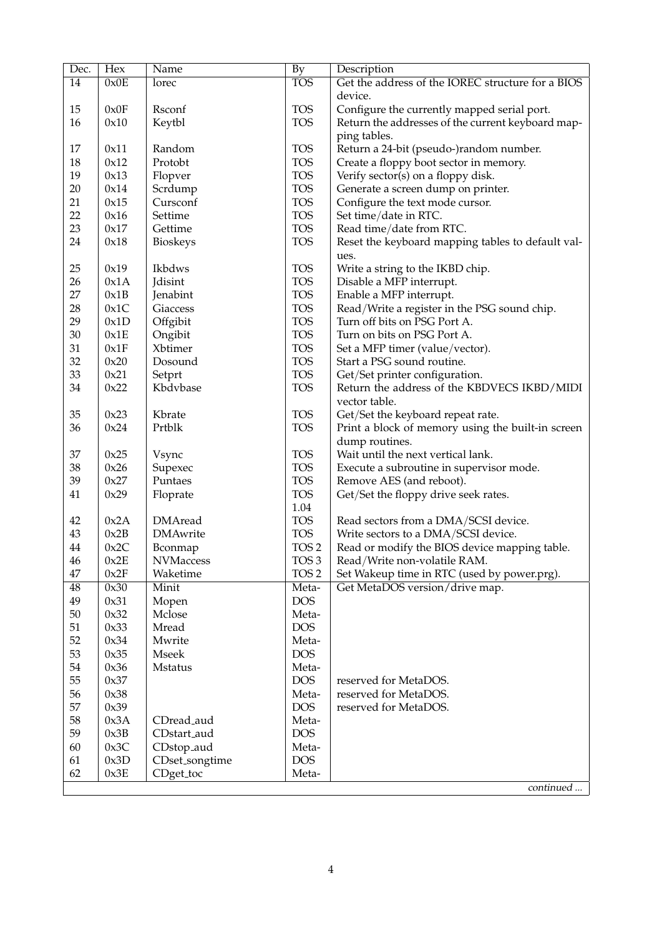| Dec.         | Hex          | Name                        | <b>By</b>                 | Description                                                                          |
|--------------|--------------|-----------------------------|---------------------------|--------------------------------------------------------------------------------------|
| 14           | 0x0E         | lorec                       | <b>TOS</b>                | Get the address of the IOREC structure for a BIOS                                    |
|              |              |                             |                           | device.                                                                              |
| 15           | 0x0F         | Rsconf                      | <b>TOS</b>                | Configure the currently mapped serial port.                                          |
| 16           | 0x10         | Keytbl                      | <b>TOS</b>                | Return the addresses of the current keyboard map-                                    |
|              |              |                             |                           | ping tables.                                                                         |
| 17           | 0x11         | Random                      | <b>TOS</b>                | Return a 24-bit (pseudo-)random number.                                              |
| 18           | 0x12         | Protobt                     | <b>TOS</b>                | Create a floppy boot sector in memory.                                               |
| 19           | 0x13         | Flopver                     | <b>TOS</b>                | Verify sector(s) on a floppy disk.                                                   |
| 20           | 0x14         | Scrdump                     | <b>TOS</b>                | Generate a screen dump on printer.                                                   |
| 21           | 0x15         | Cursconf                    | <b>TOS</b>                | Configure the text mode cursor.                                                      |
| 22           | 0x16         | Settime                     | <b>TOS</b>                | Set time/date in RTC.                                                                |
| 23           | 0x17         | Gettime                     | <b>TOS</b>                | Read time/date from RTC.                                                             |
| 24           | 0x18         | <b>Bioskeys</b>             | <b>TOS</b>                | Reset the keyboard mapping tables to default val-                                    |
|              |              |                             |                           | ues.                                                                                 |
| 25           | 0x19         | Ikbdws                      | <b>TOS</b>                | Write a string to the IKBD chip.                                                     |
| 26           | 0x1A         | Jdisint                     | <b>TOS</b>                | Disable a MFP interrupt.                                                             |
| 27           | 0x1B         | Jenabint                    | <b>TOS</b>                | Enable a MFP interrupt.                                                              |
| 28           | 0x1C         | Giaccess                    | <b>TOS</b>                | Read/Write a register in the PSG sound chip.                                         |
| 29           | 0x1D         | Offgibit                    | <b>TOS</b>                | Turn off bits on PSG Port A.                                                         |
| 30           | 0x1E         | Ongibit                     | <b>TOS</b>                | Turn on bits on PSG Port A.                                                          |
| 31           | 0x1F         | Xbtimer                     | <b>TOS</b>                | Set a MFP timer (value/vector).                                                      |
| 32           | 0x20         | Dosound                     | <b>TOS</b>                | Start a PSG sound routine.                                                           |
| 33           | 0x21         | Setprt                      | <b>TOS</b>                | Get/Set printer configuration.                                                       |
| 34           | 0x22         | Kbdvbase                    | <b>TOS</b>                | Return the address of the KBDVECS IKBD/MIDI                                          |
|              |              |                             |                           | vector table.                                                                        |
| 35           | 0x23         | Kbrate                      | <b>TOS</b>                | Get/Set the keyboard repeat rate.                                                    |
| 36           | 0x24         | Prtblk                      | <b>TOS</b>                | Print a block of memory using the built-in screen                                    |
|              |              |                             |                           | dump routines.                                                                       |
| 37           | 0x25         | Vsync                       | <b>TOS</b>                | Wait until the next vertical lank.                                                   |
| 38           | 0x26         | Supexec                     | <b>TOS</b>                | Execute a subroutine in supervisor mode.                                             |
| 39           | 0x27         | Puntaes                     | <b>TOS</b>                | Remove AES (and reboot).                                                             |
| 41           | 0x29         | Floprate                    | <b>TOS</b>                | Get/Set the floppy drive seek rates.                                                 |
|              | 0x2A         | <b>DMAread</b>              | 1.04<br><b>TOS</b>        |                                                                                      |
| 42<br>43     | 0x2B         | <b>DMAwrite</b>             | <b>TOS</b>                | Read sectors from a DMA/SCSI device.                                                 |
| 44           | 0x2C         |                             | TOS <sub>2</sub>          | Write sectors to a DMA/SCSI device.<br>Read or modify the BIOS device mapping table. |
|              |              | Bconmap<br><b>NVMaccess</b> |                           |                                                                                      |
| 46<br>$47\,$ | 0x2E<br>0x2F | Waketime                    | TOS 3<br>TOS <sub>2</sub> | Read/Write non-volatile RAM.<br>Set Wakeup time in RTC (used by power.prg).          |
| 48           | 0x30         | Minit                       | Meta-                     | Get MetaDOS version/drive map.                                                       |
| 49           | 0x31         | Mopen                       | <b>DOS</b>                |                                                                                      |
| 50           | 0x32         | Mclose                      | Meta-                     |                                                                                      |
| 51           | 0x33         | Mread                       | <b>DOS</b>                |                                                                                      |
| 52           | 0x34         | Mwrite                      | Meta-                     |                                                                                      |
| 53           | 0x35         | <b>Mseek</b>                | <b>DOS</b>                |                                                                                      |
| 54           | 0x36         | Mstatus                     | Meta-                     |                                                                                      |
| 55           | 0x37         |                             | <b>DOS</b>                | reserved for MetaDOS.                                                                |
| 56           | 0x38         |                             | Meta-                     | reserved for MetaDOS.                                                                |
| 57           | 0x39         |                             | <b>DOS</b>                | reserved for MetaDOS.                                                                |
| 58           | 0x3A         | CDread_aud                  | Meta-                     |                                                                                      |
| 59           | 0x3B         | CDstart_aud                 | <b>DOS</b>                |                                                                                      |
| 60           | 0x3C         | CDstop_aud                  | Meta-                     |                                                                                      |
| 61           | 0x3D         | CDset_songtime              | <b>DOS</b>                |                                                                                      |
| 62           | 0x3E         | CDget_toc                   | Meta-                     |                                                                                      |
|              |              |                             |                           | continued                                                                            |
|              |              |                             |                           |                                                                                      |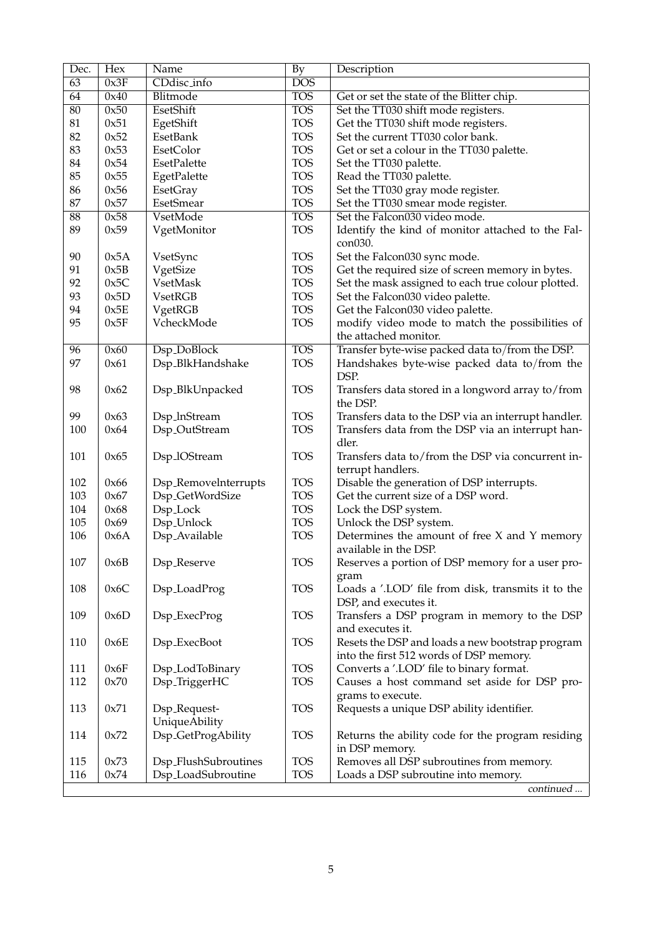| 63<br>0x3F<br>CDdisc_info<br><b>DOS</b><br><b>TOS</b><br>64<br>0x40<br>Blitmode<br>Get or set the state of the Blitter chip.<br><b>TOS</b><br>$\overline{80}$<br>0x50<br>EsetShift<br>Set the TT030 shift mode registers.<br><b>TOS</b><br>81<br>0x51<br>EgetShift<br>Get the TT030 shift mode registers.<br><b>TOS</b><br>82<br>0x52<br>EsetBank<br>Set the current TT030 color bank.<br><b>TOS</b><br>83<br>0x53<br>EsetColor<br>Get or set a colour in the TT030 palette.<br><b>TOS</b><br>0x54<br>84<br>EsetPalette<br>Set the TT030 palette.<br><b>TOS</b><br>85<br>0x55<br>Read the TT030 palette.<br>EgetPalette<br><b>TOS</b><br>Set the TT030 gray mode register.<br>86<br>0x56<br>EsetGray<br><b>TOS</b><br>87<br>Set the TT030 smear mode register.<br>0x57<br>EsetSmear<br><b>TOS</b><br>$\overline{88}$<br>0x58<br>VsetMode<br>Set the Falcon030 video mode.<br><b>TOS</b><br>89<br>0x59<br>VgetMonitor<br>Identify the kind of monitor attached to the Fal-<br>con030.<br><b>TOS</b><br>90<br>0x5A<br>VsetSync<br>Set the Falcon030 sync mode.<br>0x5B<br><b>TOS</b><br>91<br>VgetSize<br>Get the required size of screen memory in bytes.<br><b>TOS</b><br>92<br>0x5C<br>VsetMask<br>Set the mask assigned to each true colour plotted.<br><b>TOS</b><br>93<br>0x5D<br>Set the Falcon030 video palette.<br><b>VsetRGB</b><br><b>TOS</b><br>94<br>0x5E<br>VgetRGB<br>Get the Falcon030 video palette.<br><b>TOS</b><br>95<br>0x5F<br>VcheckMode<br>modify video mode to match the possibilities of<br>the attached monitor.<br><b>TOS</b><br>0x60<br>Dsp_DoBlock<br>Transfer byte-wise packed data to/from the DSP.<br>96<br>97<br><b>TOS</b><br>0x61<br>Dsp_BlkHandshake<br>Handshakes byte-wise packed data to/from the<br>DSP.<br>98<br>0x62<br>Dsp_BlkUnpacked<br><b>TOS</b><br>Transfers data stored in a longword array to/from<br>the DSP.<br>99<br>0x63<br>Dsp_lnStream<br><b>TOS</b><br>Transfers data to the DSP via an interrupt handler.<br>100<br><b>TOS</b><br>0x64<br>Dsp <sub>-OutStream</sub><br>Transfers data from the DSP via an interrupt han-<br>dler.<br>101<br>0x65<br>Dsp_lOStream<br><b>TOS</b><br>Transfers data to/from the DSP via concurrent in-<br>terrupt handlers.<br>102<br>Dsp_Removelnterrupts<br><b>TOS</b><br>Disable the generation of DSP interrupts.<br>0x66<br><b>TOS</b><br>103<br>0x67<br>Dsp_GetWordSize<br>Get the current size of a DSP word.<br><b>TOS</b><br>104<br>0x68<br>Dsp_Lock<br>Lock the DSP system.<br><b>TOS</b><br>105<br>0x69<br>Dsp_Unlock<br>Unlock the DSP system.<br><b>TOS</b><br>106<br>0x6A<br>Dsp_Available<br>Determines the amount of free $X$ and $Y$ memory<br>available in the DSP.<br>107<br>0x6B<br>Dsp_Reserve<br><b>TOS</b><br>Reserves a portion of DSP memory for a user pro-<br>gram<br><b>TOS</b><br>108<br>0x6C<br>Dsp_LoadProg<br>Loads a '.LOD' file from disk, transmits it to the<br>DSP, and executes it.<br><b>TOS</b><br>109<br>0x6D<br>Dsp_ExecProg<br>Transfers a DSP program in memory to the DSP<br>and executes it.<br><b>TOS</b><br>110<br>0x6E<br>Dsp_ExecBoot<br>Resets the DSP and loads a new bootstrap program<br>into the first 512 words of DSP memory.<br><b>TOS</b><br>Converts a '.LOD' file to binary format.<br>111<br>0x6F<br>Dsp_LodToBinary<br>112<br>0x70<br><b>TOS</b><br>Causes a host command set aside for DSP pro-<br>Dsp_TriggerHC<br>grams to execute.<br><b>TOS</b><br>Requests a unique DSP ability identifier.<br>113<br>0x71<br>Dsp_Request-<br><b>UniqueAbility</b><br>Dsp_GetProgAbility<br><b>TOS</b><br>114<br>0x72<br>Returns the ability code for the program residing<br>in DSP memory.<br><b>TOS</b><br>Removes all DSP subroutines from memory.<br>115<br>0x73<br>Dsp_FlushSubroutines<br><b>TOS</b><br>116<br>0x74<br>Dsp_LoadSubroutine<br>Loads a DSP subroutine into memory.<br>continued | Dec. | Hex | Name | By | Description |
|-------------------------------------------------------------------------------------------------------------------------------------------------------------------------------------------------------------------------------------------------------------------------------------------------------------------------------------------------------------------------------------------------------------------------------------------------------------------------------------------------------------------------------------------------------------------------------------------------------------------------------------------------------------------------------------------------------------------------------------------------------------------------------------------------------------------------------------------------------------------------------------------------------------------------------------------------------------------------------------------------------------------------------------------------------------------------------------------------------------------------------------------------------------------------------------------------------------------------------------------------------------------------------------------------------------------------------------------------------------------------------------------------------------------------------------------------------------------------------------------------------------------------------------------------------------------------------------------------------------------------------------------------------------------------------------------------------------------------------------------------------------------------------------------------------------------------------------------------------------------------------------------------------------------------------------------------------------------------------------------------------------------------------------------------------------------------------------------------------------------------------------------------------------------------------------------------------------------------------------------------------------------------------------------------------------------------------------------------------------------------------------------------------------------------------------------------------------------------------------------------------------------------------------------------------------------------------------------------------------------------------------------------------------------------------------------------------------------------------------------------------------------------------------------------------------------------------------------------------------------------------------------------------------------------------------------------------------------------------------------------------------------------------------------------------------------------------------------------------------------------------------------------------------------------------------------------------------------------------------------------------------------------------------------------------------------------------------------------------------------------------------------------------------------------------------------------------------------------------------------------------------------------------------------------------------------------------------------------------------------------------------------------------------------------------------------------------------------------------------------------------------------------------------------------------------------------------------------------|------|-----|------|----|-------------|
|                                                                                                                                                                                                                                                                                                                                                                                                                                                                                                                                                                                                                                                                                                                                                                                                                                                                                                                                                                                                                                                                                                                                                                                                                                                                                                                                                                                                                                                                                                                                                                                                                                                                                                                                                                                                                                                                                                                                                                                                                                                                                                                                                                                                                                                                                                                                                                                                                                                                                                                                                                                                                                                                                                                                                                                                                                                                                                                                                                                                                                                                                                                                                                                                                                                                                                                                                                                                                                                                                                                                                                                                                                                                                                                                                                                                                                                 |      |     |      |    |             |
|                                                                                                                                                                                                                                                                                                                                                                                                                                                                                                                                                                                                                                                                                                                                                                                                                                                                                                                                                                                                                                                                                                                                                                                                                                                                                                                                                                                                                                                                                                                                                                                                                                                                                                                                                                                                                                                                                                                                                                                                                                                                                                                                                                                                                                                                                                                                                                                                                                                                                                                                                                                                                                                                                                                                                                                                                                                                                                                                                                                                                                                                                                                                                                                                                                                                                                                                                                                                                                                                                                                                                                                                                                                                                                                                                                                                                                                 |      |     |      |    |             |
|                                                                                                                                                                                                                                                                                                                                                                                                                                                                                                                                                                                                                                                                                                                                                                                                                                                                                                                                                                                                                                                                                                                                                                                                                                                                                                                                                                                                                                                                                                                                                                                                                                                                                                                                                                                                                                                                                                                                                                                                                                                                                                                                                                                                                                                                                                                                                                                                                                                                                                                                                                                                                                                                                                                                                                                                                                                                                                                                                                                                                                                                                                                                                                                                                                                                                                                                                                                                                                                                                                                                                                                                                                                                                                                                                                                                                                                 |      |     |      |    |             |
|                                                                                                                                                                                                                                                                                                                                                                                                                                                                                                                                                                                                                                                                                                                                                                                                                                                                                                                                                                                                                                                                                                                                                                                                                                                                                                                                                                                                                                                                                                                                                                                                                                                                                                                                                                                                                                                                                                                                                                                                                                                                                                                                                                                                                                                                                                                                                                                                                                                                                                                                                                                                                                                                                                                                                                                                                                                                                                                                                                                                                                                                                                                                                                                                                                                                                                                                                                                                                                                                                                                                                                                                                                                                                                                                                                                                                                                 |      |     |      |    |             |
|                                                                                                                                                                                                                                                                                                                                                                                                                                                                                                                                                                                                                                                                                                                                                                                                                                                                                                                                                                                                                                                                                                                                                                                                                                                                                                                                                                                                                                                                                                                                                                                                                                                                                                                                                                                                                                                                                                                                                                                                                                                                                                                                                                                                                                                                                                                                                                                                                                                                                                                                                                                                                                                                                                                                                                                                                                                                                                                                                                                                                                                                                                                                                                                                                                                                                                                                                                                                                                                                                                                                                                                                                                                                                                                                                                                                                                                 |      |     |      |    |             |
|                                                                                                                                                                                                                                                                                                                                                                                                                                                                                                                                                                                                                                                                                                                                                                                                                                                                                                                                                                                                                                                                                                                                                                                                                                                                                                                                                                                                                                                                                                                                                                                                                                                                                                                                                                                                                                                                                                                                                                                                                                                                                                                                                                                                                                                                                                                                                                                                                                                                                                                                                                                                                                                                                                                                                                                                                                                                                                                                                                                                                                                                                                                                                                                                                                                                                                                                                                                                                                                                                                                                                                                                                                                                                                                                                                                                                                                 |      |     |      |    |             |
|                                                                                                                                                                                                                                                                                                                                                                                                                                                                                                                                                                                                                                                                                                                                                                                                                                                                                                                                                                                                                                                                                                                                                                                                                                                                                                                                                                                                                                                                                                                                                                                                                                                                                                                                                                                                                                                                                                                                                                                                                                                                                                                                                                                                                                                                                                                                                                                                                                                                                                                                                                                                                                                                                                                                                                                                                                                                                                                                                                                                                                                                                                                                                                                                                                                                                                                                                                                                                                                                                                                                                                                                                                                                                                                                                                                                                                                 |      |     |      |    |             |
|                                                                                                                                                                                                                                                                                                                                                                                                                                                                                                                                                                                                                                                                                                                                                                                                                                                                                                                                                                                                                                                                                                                                                                                                                                                                                                                                                                                                                                                                                                                                                                                                                                                                                                                                                                                                                                                                                                                                                                                                                                                                                                                                                                                                                                                                                                                                                                                                                                                                                                                                                                                                                                                                                                                                                                                                                                                                                                                                                                                                                                                                                                                                                                                                                                                                                                                                                                                                                                                                                                                                                                                                                                                                                                                                                                                                                                                 |      |     |      |    |             |
|                                                                                                                                                                                                                                                                                                                                                                                                                                                                                                                                                                                                                                                                                                                                                                                                                                                                                                                                                                                                                                                                                                                                                                                                                                                                                                                                                                                                                                                                                                                                                                                                                                                                                                                                                                                                                                                                                                                                                                                                                                                                                                                                                                                                                                                                                                                                                                                                                                                                                                                                                                                                                                                                                                                                                                                                                                                                                                                                                                                                                                                                                                                                                                                                                                                                                                                                                                                                                                                                                                                                                                                                                                                                                                                                                                                                                                                 |      |     |      |    |             |
|                                                                                                                                                                                                                                                                                                                                                                                                                                                                                                                                                                                                                                                                                                                                                                                                                                                                                                                                                                                                                                                                                                                                                                                                                                                                                                                                                                                                                                                                                                                                                                                                                                                                                                                                                                                                                                                                                                                                                                                                                                                                                                                                                                                                                                                                                                                                                                                                                                                                                                                                                                                                                                                                                                                                                                                                                                                                                                                                                                                                                                                                                                                                                                                                                                                                                                                                                                                                                                                                                                                                                                                                                                                                                                                                                                                                                                                 |      |     |      |    |             |
|                                                                                                                                                                                                                                                                                                                                                                                                                                                                                                                                                                                                                                                                                                                                                                                                                                                                                                                                                                                                                                                                                                                                                                                                                                                                                                                                                                                                                                                                                                                                                                                                                                                                                                                                                                                                                                                                                                                                                                                                                                                                                                                                                                                                                                                                                                                                                                                                                                                                                                                                                                                                                                                                                                                                                                                                                                                                                                                                                                                                                                                                                                                                                                                                                                                                                                                                                                                                                                                                                                                                                                                                                                                                                                                                                                                                                                                 |      |     |      |    |             |
|                                                                                                                                                                                                                                                                                                                                                                                                                                                                                                                                                                                                                                                                                                                                                                                                                                                                                                                                                                                                                                                                                                                                                                                                                                                                                                                                                                                                                                                                                                                                                                                                                                                                                                                                                                                                                                                                                                                                                                                                                                                                                                                                                                                                                                                                                                                                                                                                                                                                                                                                                                                                                                                                                                                                                                                                                                                                                                                                                                                                                                                                                                                                                                                                                                                                                                                                                                                                                                                                                                                                                                                                                                                                                                                                                                                                                                                 |      |     |      |    |             |
|                                                                                                                                                                                                                                                                                                                                                                                                                                                                                                                                                                                                                                                                                                                                                                                                                                                                                                                                                                                                                                                                                                                                                                                                                                                                                                                                                                                                                                                                                                                                                                                                                                                                                                                                                                                                                                                                                                                                                                                                                                                                                                                                                                                                                                                                                                                                                                                                                                                                                                                                                                                                                                                                                                                                                                                                                                                                                                                                                                                                                                                                                                                                                                                                                                                                                                                                                                                                                                                                                                                                                                                                                                                                                                                                                                                                                                                 |      |     |      |    |             |
|                                                                                                                                                                                                                                                                                                                                                                                                                                                                                                                                                                                                                                                                                                                                                                                                                                                                                                                                                                                                                                                                                                                                                                                                                                                                                                                                                                                                                                                                                                                                                                                                                                                                                                                                                                                                                                                                                                                                                                                                                                                                                                                                                                                                                                                                                                                                                                                                                                                                                                                                                                                                                                                                                                                                                                                                                                                                                                                                                                                                                                                                                                                                                                                                                                                                                                                                                                                                                                                                                                                                                                                                                                                                                                                                                                                                                                                 |      |     |      |    |             |
|                                                                                                                                                                                                                                                                                                                                                                                                                                                                                                                                                                                                                                                                                                                                                                                                                                                                                                                                                                                                                                                                                                                                                                                                                                                                                                                                                                                                                                                                                                                                                                                                                                                                                                                                                                                                                                                                                                                                                                                                                                                                                                                                                                                                                                                                                                                                                                                                                                                                                                                                                                                                                                                                                                                                                                                                                                                                                                                                                                                                                                                                                                                                                                                                                                                                                                                                                                                                                                                                                                                                                                                                                                                                                                                                                                                                                                                 |      |     |      |    |             |
|                                                                                                                                                                                                                                                                                                                                                                                                                                                                                                                                                                                                                                                                                                                                                                                                                                                                                                                                                                                                                                                                                                                                                                                                                                                                                                                                                                                                                                                                                                                                                                                                                                                                                                                                                                                                                                                                                                                                                                                                                                                                                                                                                                                                                                                                                                                                                                                                                                                                                                                                                                                                                                                                                                                                                                                                                                                                                                                                                                                                                                                                                                                                                                                                                                                                                                                                                                                                                                                                                                                                                                                                                                                                                                                                                                                                                                                 |      |     |      |    |             |
|                                                                                                                                                                                                                                                                                                                                                                                                                                                                                                                                                                                                                                                                                                                                                                                                                                                                                                                                                                                                                                                                                                                                                                                                                                                                                                                                                                                                                                                                                                                                                                                                                                                                                                                                                                                                                                                                                                                                                                                                                                                                                                                                                                                                                                                                                                                                                                                                                                                                                                                                                                                                                                                                                                                                                                                                                                                                                                                                                                                                                                                                                                                                                                                                                                                                                                                                                                                                                                                                                                                                                                                                                                                                                                                                                                                                                                                 |      |     |      |    |             |
|                                                                                                                                                                                                                                                                                                                                                                                                                                                                                                                                                                                                                                                                                                                                                                                                                                                                                                                                                                                                                                                                                                                                                                                                                                                                                                                                                                                                                                                                                                                                                                                                                                                                                                                                                                                                                                                                                                                                                                                                                                                                                                                                                                                                                                                                                                                                                                                                                                                                                                                                                                                                                                                                                                                                                                                                                                                                                                                                                                                                                                                                                                                                                                                                                                                                                                                                                                                                                                                                                                                                                                                                                                                                                                                                                                                                                                                 |      |     |      |    |             |
|                                                                                                                                                                                                                                                                                                                                                                                                                                                                                                                                                                                                                                                                                                                                                                                                                                                                                                                                                                                                                                                                                                                                                                                                                                                                                                                                                                                                                                                                                                                                                                                                                                                                                                                                                                                                                                                                                                                                                                                                                                                                                                                                                                                                                                                                                                                                                                                                                                                                                                                                                                                                                                                                                                                                                                                                                                                                                                                                                                                                                                                                                                                                                                                                                                                                                                                                                                                                                                                                                                                                                                                                                                                                                                                                                                                                                                                 |      |     |      |    |             |
|                                                                                                                                                                                                                                                                                                                                                                                                                                                                                                                                                                                                                                                                                                                                                                                                                                                                                                                                                                                                                                                                                                                                                                                                                                                                                                                                                                                                                                                                                                                                                                                                                                                                                                                                                                                                                                                                                                                                                                                                                                                                                                                                                                                                                                                                                                                                                                                                                                                                                                                                                                                                                                                                                                                                                                                                                                                                                                                                                                                                                                                                                                                                                                                                                                                                                                                                                                                                                                                                                                                                                                                                                                                                                                                                                                                                                                                 |      |     |      |    |             |
|                                                                                                                                                                                                                                                                                                                                                                                                                                                                                                                                                                                                                                                                                                                                                                                                                                                                                                                                                                                                                                                                                                                                                                                                                                                                                                                                                                                                                                                                                                                                                                                                                                                                                                                                                                                                                                                                                                                                                                                                                                                                                                                                                                                                                                                                                                                                                                                                                                                                                                                                                                                                                                                                                                                                                                                                                                                                                                                                                                                                                                                                                                                                                                                                                                                                                                                                                                                                                                                                                                                                                                                                                                                                                                                                                                                                                                                 |      |     |      |    |             |
|                                                                                                                                                                                                                                                                                                                                                                                                                                                                                                                                                                                                                                                                                                                                                                                                                                                                                                                                                                                                                                                                                                                                                                                                                                                                                                                                                                                                                                                                                                                                                                                                                                                                                                                                                                                                                                                                                                                                                                                                                                                                                                                                                                                                                                                                                                                                                                                                                                                                                                                                                                                                                                                                                                                                                                                                                                                                                                                                                                                                                                                                                                                                                                                                                                                                                                                                                                                                                                                                                                                                                                                                                                                                                                                                                                                                                                                 |      |     |      |    |             |
|                                                                                                                                                                                                                                                                                                                                                                                                                                                                                                                                                                                                                                                                                                                                                                                                                                                                                                                                                                                                                                                                                                                                                                                                                                                                                                                                                                                                                                                                                                                                                                                                                                                                                                                                                                                                                                                                                                                                                                                                                                                                                                                                                                                                                                                                                                                                                                                                                                                                                                                                                                                                                                                                                                                                                                                                                                                                                                                                                                                                                                                                                                                                                                                                                                                                                                                                                                                                                                                                                                                                                                                                                                                                                                                                                                                                                                                 |      |     |      |    |             |
|                                                                                                                                                                                                                                                                                                                                                                                                                                                                                                                                                                                                                                                                                                                                                                                                                                                                                                                                                                                                                                                                                                                                                                                                                                                                                                                                                                                                                                                                                                                                                                                                                                                                                                                                                                                                                                                                                                                                                                                                                                                                                                                                                                                                                                                                                                                                                                                                                                                                                                                                                                                                                                                                                                                                                                                                                                                                                                                                                                                                                                                                                                                                                                                                                                                                                                                                                                                                                                                                                                                                                                                                                                                                                                                                                                                                                                                 |      |     |      |    |             |
|                                                                                                                                                                                                                                                                                                                                                                                                                                                                                                                                                                                                                                                                                                                                                                                                                                                                                                                                                                                                                                                                                                                                                                                                                                                                                                                                                                                                                                                                                                                                                                                                                                                                                                                                                                                                                                                                                                                                                                                                                                                                                                                                                                                                                                                                                                                                                                                                                                                                                                                                                                                                                                                                                                                                                                                                                                                                                                                                                                                                                                                                                                                                                                                                                                                                                                                                                                                                                                                                                                                                                                                                                                                                                                                                                                                                                                                 |      |     |      |    |             |
|                                                                                                                                                                                                                                                                                                                                                                                                                                                                                                                                                                                                                                                                                                                                                                                                                                                                                                                                                                                                                                                                                                                                                                                                                                                                                                                                                                                                                                                                                                                                                                                                                                                                                                                                                                                                                                                                                                                                                                                                                                                                                                                                                                                                                                                                                                                                                                                                                                                                                                                                                                                                                                                                                                                                                                                                                                                                                                                                                                                                                                                                                                                                                                                                                                                                                                                                                                                                                                                                                                                                                                                                                                                                                                                                                                                                                                                 |      |     |      |    |             |
|                                                                                                                                                                                                                                                                                                                                                                                                                                                                                                                                                                                                                                                                                                                                                                                                                                                                                                                                                                                                                                                                                                                                                                                                                                                                                                                                                                                                                                                                                                                                                                                                                                                                                                                                                                                                                                                                                                                                                                                                                                                                                                                                                                                                                                                                                                                                                                                                                                                                                                                                                                                                                                                                                                                                                                                                                                                                                                                                                                                                                                                                                                                                                                                                                                                                                                                                                                                                                                                                                                                                                                                                                                                                                                                                                                                                                                                 |      |     |      |    |             |
|                                                                                                                                                                                                                                                                                                                                                                                                                                                                                                                                                                                                                                                                                                                                                                                                                                                                                                                                                                                                                                                                                                                                                                                                                                                                                                                                                                                                                                                                                                                                                                                                                                                                                                                                                                                                                                                                                                                                                                                                                                                                                                                                                                                                                                                                                                                                                                                                                                                                                                                                                                                                                                                                                                                                                                                                                                                                                                                                                                                                                                                                                                                                                                                                                                                                                                                                                                                                                                                                                                                                                                                                                                                                                                                                                                                                                                                 |      |     |      |    |             |
|                                                                                                                                                                                                                                                                                                                                                                                                                                                                                                                                                                                                                                                                                                                                                                                                                                                                                                                                                                                                                                                                                                                                                                                                                                                                                                                                                                                                                                                                                                                                                                                                                                                                                                                                                                                                                                                                                                                                                                                                                                                                                                                                                                                                                                                                                                                                                                                                                                                                                                                                                                                                                                                                                                                                                                                                                                                                                                                                                                                                                                                                                                                                                                                                                                                                                                                                                                                                                                                                                                                                                                                                                                                                                                                                                                                                                                                 |      |     |      |    |             |
|                                                                                                                                                                                                                                                                                                                                                                                                                                                                                                                                                                                                                                                                                                                                                                                                                                                                                                                                                                                                                                                                                                                                                                                                                                                                                                                                                                                                                                                                                                                                                                                                                                                                                                                                                                                                                                                                                                                                                                                                                                                                                                                                                                                                                                                                                                                                                                                                                                                                                                                                                                                                                                                                                                                                                                                                                                                                                                                                                                                                                                                                                                                                                                                                                                                                                                                                                                                                                                                                                                                                                                                                                                                                                                                                                                                                                                                 |      |     |      |    |             |
|                                                                                                                                                                                                                                                                                                                                                                                                                                                                                                                                                                                                                                                                                                                                                                                                                                                                                                                                                                                                                                                                                                                                                                                                                                                                                                                                                                                                                                                                                                                                                                                                                                                                                                                                                                                                                                                                                                                                                                                                                                                                                                                                                                                                                                                                                                                                                                                                                                                                                                                                                                                                                                                                                                                                                                                                                                                                                                                                                                                                                                                                                                                                                                                                                                                                                                                                                                                                                                                                                                                                                                                                                                                                                                                                                                                                                                                 |      |     |      |    |             |
|                                                                                                                                                                                                                                                                                                                                                                                                                                                                                                                                                                                                                                                                                                                                                                                                                                                                                                                                                                                                                                                                                                                                                                                                                                                                                                                                                                                                                                                                                                                                                                                                                                                                                                                                                                                                                                                                                                                                                                                                                                                                                                                                                                                                                                                                                                                                                                                                                                                                                                                                                                                                                                                                                                                                                                                                                                                                                                                                                                                                                                                                                                                                                                                                                                                                                                                                                                                                                                                                                                                                                                                                                                                                                                                                                                                                                                                 |      |     |      |    |             |
|                                                                                                                                                                                                                                                                                                                                                                                                                                                                                                                                                                                                                                                                                                                                                                                                                                                                                                                                                                                                                                                                                                                                                                                                                                                                                                                                                                                                                                                                                                                                                                                                                                                                                                                                                                                                                                                                                                                                                                                                                                                                                                                                                                                                                                                                                                                                                                                                                                                                                                                                                                                                                                                                                                                                                                                                                                                                                                                                                                                                                                                                                                                                                                                                                                                                                                                                                                                                                                                                                                                                                                                                                                                                                                                                                                                                                                                 |      |     |      |    |             |
|                                                                                                                                                                                                                                                                                                                                                                                                                                                                                                                                                                                                                                                                                                                                                                                                                                                                                                                                                                                                                                                                                                                                                                                                                                                                                                                                                                                                                                                                                                                                                                                                                                                                                                                                                                                                                                                                                                                                                                                                                                                                                                                                                                                                                                                                                                                                                                                                                                                                                                                                                                                                                                                                                                                                                                                                                                                                                                                                                                                                                                                                                                                                                                                                                                                                                                                                                                                                                                                                                                                                                                                                                                                                                                                                                                                                                                                 |      |     |      |    |             |
|                                                                                                                                                                                                                                                                                                                                                                                                                                                                                                                                                                                                                                                                                                                                                                                                                                                                                                                                                                                                                                                                                                                                                                                                                                                                                                                                                                                                                                                                                                                                                                                                                                                                                                                                                                                                                                                                                                                                                                                                                                                                                                                                                                                                                                                                                                                                                                                                                                                                                                                                                                                                                                                                                                                                                                                                                                                                                                                                                                                                                                                                                                                                                                                                                                                                                                                                                                                                                                                                                                                                                                                                                                                                                                                                                                                                                                                 |      |     |      |    |             |
|                                                                                                                                                                                                                                                                                                                                                                                                                                                                                                                                                                                                                                                                                                                                                                                                                                                                                                                                                                                                                                                                                                                                                                                                                                                                                                                                                                                                                                                                                                                                                                                                                                                                                                                                                                                                                                                                                                                                                                                                                                                                                                                                                                                                                                                                                                                                                                                                                                                                                                                                                                                                                                                                                                                                                                                                                                                                                                                                                                                                                                                                                                                                                                                                                                                                                                                                                                                                                                                                                                                                                                                                                                                                                                                                                                                                                                                 |      |     |      |    |             |
|                                                                                                                                                                                                                                                                                                                                                                                                                                                                                                                                                                                                                                                                                                                                                                                                                                                                                                                                                                                                                                                                                                                                                                                                                                                                                                                                                                                                                                                                                                                                                                                                                                                                                                                                                                                                                                                                                                                                                                                                                                                                                                                                                                                                                                                                                                                                                                                                                                                                                                                                                                                                                                                                                                                                                                                                                                                                                                                                                                                                                                                                                                                                                                                                                                                                                                                                                                                                                                                                                                                                                                                                                                                                                                                                                                                                                                                 |      |     |      |    |             |
|                                                                                                                                                                                                                                                                                                                                                                                                                                                                                                                                                                                                                                                                                                                                                                                                                                                                                                                                                                                                                                                                                                                                                                                                                                                                                                                                                                                                                                                                                                                                                                                                                                                                                                                                                                                                                                                                                                                                                                                                                                                                                                                                                                                                                                                                                                                                                                                                                                                                                                                                                                                                                                                                                                                                                                                                                                                                                                                                                                                                                                                                                                                                                                                                                                                                                                                                                                                                                                                                                                                                                                                                                                                                                                                                                                                                                                                 |      |     |      |    |             |
|                                                                                                                                                                                                                                                                                                                                                                                                                                                                                                                                                                                                                                                                                                                                                                                                                                                                                                                                                                                                                                                                                                                                                                                                                                                                                                                                                                                                                                                                                                                                                                                                                                                                                                                                                                                                                                                                                                                                                                                                                                                                                                                                                                                                                                                                                                                                                                                                                                                                                                                                                                                                                                                                                                                                                                                                                                                                                                                                                                                                                                                                                                                                                                                                                                                                                                                                                                                                                                                                                                                                                                                                                                                                                                                                                                                                                                                 |      |     |      |    |             |
|                                                                                                                                                                                                                                                                                                                                                                                                                                                                                                                                                                                                                                                                                                                                                                                                                                                                                                                                                                                                                                                                                                                                                                                                                                                                                                                                                                                                                                                                                                                                                                                                                                                                                                                                                                                                                                                                                                                                                                                                                                                                                                                                                                                                                                                                                                                                                                                                                                                                                                                                                                                                                                                                                                                                                                                                                                                                                                                                                                                                                                                                                                                                                                                                                                                                                                                                                                                                                                                                                                                                                                                                                                                                                                                                                                                                                                                 |      |     |      |    |             |
|                                                                                                                                                                                                                                                                                                                                                                                                                                                                                                                                                                                                                                                                                                                                                                                                                                                                                                                                                                                                                                                                                                                                                                                                                                                                                                                                                                                                                                                                                                                                                                                                                                                                                                                                                                                                                                                                                                                                                                                                                                                                                                                                                                                                                                                                                                                                                                                                                                                                                                                                                                                                                                                                                                                                                                                                                                                                                                                                                                                                                                                                                                                                                                                                                                                                                                                                                                                                                                                                                                                                                                                                                                                                                                                                                                                                                                                 |      |     |      |    |             |
|                                                                                                                                                                                                                                                                                                                                                                                                                                                                                                                                                                                                                                                                                                                                                                                                                                                                                                                                                                                                                                                                                                                                                                                                                                                                                                                                                                                                                                                                                                                                                                                                                                                                                                                                                                                                                                                                                                                                                                                                                                                                                                                                                                                                                                                                                                                                                                                                                                                                                                                                                                                                                                                                                                                                                                                                                                                                                                                                                                                                                                                                                                                                                                                                                                                                                                                                                                                                                                                                                                                                                                                                                                                                                                                                                                                                                                                 |      |     |      |    |             |
|                                                                                                                                                                                                                                                                                                                                                                                                                                                                                                                                                                                                                                                                                                                                                                                                                                                                                                                                                                                                                                                                                                                                                                                                                                                                                                                                                                                                                                                                                                                                                                                                                                                                                                                                                                                                                                                                                                                                                                                                                                                                                                                                                                                                                                                                                                                                                                                                                                                                                                                                                                                                                                                                                                                                                                                                                                                                                                                                                                                                                                                                                                                                                                                                                                                                                                                                                                                                                                                                                                                                                                                                                                                                                                                                                                                                                                                 |      |     |      |    |             |
|                                                                                                                                                                                                                                                                                                                                                                                                                                                                                                                                                                                                                                                                                                                                                                                                                                                                                                                                                                                                                                                                                                                                                                                                                                                                                                                                                                                                                                                                                                                                                                                                                                                                                                                                                                                                                                                                                                                                                                                                                                                                                                                                                                                                                                                                                                                                                                                                                                                                                                                                                                                                                                                                                                                                                                                                                                                                                                                                                                                                                                                                                                                                                                                                                                                                                                                                                                                                                                                                                                                                                                                                                                                                                                                                                                                                                                                 |      |     |      |    |             |
|                                                                                                                                                                                                                                                                                                                                                                                                                                                                                                                                                                                                                                                                                                                                                                                                                                                                                                                                                                                                                                                                                                                                                                                                                                                                                                                                                                                                                                                                                                                                                                                                                                                                                                                                                                                                                                                                                                                                                                                                                                                                                                                                                                                                                                                                                                                                                                                                                                                                                                                                                                                                                                                                                                                                                                                                                                                                                                                                                                                                                                                                                                                                                                                                                                                                                                                                                                                                                                                                                                                                                                                                                                                                                                                                                                                                                                                 |      |     |      |    |             |
|                                                                                                                                                                                                                                                                                                                                                                                                                                                                                                                                                                                                                                                                                                                                                                                                                                                                                                                                                                                                                                                                                                                                                                                                                                                                                                                                                                                                                                                                                                                                                                                                                                                                                                                                                                                                                                                                                                                                                                                                                                                                                                                                                                                                                                                                                                                                                                                                                                                                                                                                                                                                                                                                                                                                                                                                                                                                                                                                                                                                                                                                                                                                                                                                                                                                                                                                                                                                                                                                                                                                                                                                                                                                                                                                                                                                                                                 |      |     |      |    |             |
|                                                                                                                                                                                                                                                                                                                                                                                                                                                                                                                                                                                                                                                                                                                                                                                                                                                                                                                                                                                                                                                                                                                                                                                                                                                                                                                                                                                                                                                                                                                                                                                                                                                                                                                                                                                                                                                                                                                                                                                                                                                                                                                                                                                                                                                                                                                                                                                                                                                                                                                                                                                                                                                                                                                                                                                                                                                                                                                                                                                                                                                                                                                                                                                                                                                                                                                                                                                                                                                                                                                                                                                                                                                                                                                                                                                                                                                 |      |     |      |    |             |
|                                                                                                                                                                                                                                                                                                                                                                                                                                                                                                                                                                                                                                                                                                                                                                                                                                                                                                                                                                                                                                                                                                                                                                                                                                                                                                                                                                                                                                                                                                                                                                                                                                                                                                                                                                                                                                                                                                                                                                                                                                                                                                                                                                                                                                                                                                                                                                                                                                                                                                                                                                                                                                                                                                                                                                                                                                                                                                                                                                                                                                                                                                                                                                                                                                                                                                                                                                                                                                                                                                                                                                                                                                                                                                                                                                                                                                                 |      |     |      |    |             |
|                                                                                                                                                                                                                                                                                                                                                                                                                                                                                                                                                                                                                                                                                                                                                                                                                                                                                                                                                                                                                                                                                                                                                                                                                                                                                                                                                                                                                                                                                                                                                                                                                                                                                                                                                                                                                                                                                                                                                                                                                                                                                                                                                                                                                                                                                                                                                                                                                                                                                                                                                                                                                                                                                                                                                                                                                                                                                                                                                                                                                                                                                                                                                                                                                                                                                                                                                                                                                                                                                                                                                                                                                                                                                                                                                                                                                                                 |      |     |      |    |             |
|                                                                                                                                                                                                                                                                                                                                                                                                                                                                                                                                                                                                                                                                                                                                                                                                                                                                                                                                                                                                                                                                                                                                                                                                                                                                                                                                                                                                                                                                                                                                                                                                                                                                                                                                                                                                                                                                                                                                                                                                                                                                                                                                                                                                                                                                                                                                                                                                                                                                                                                                                                                                                                                                                                                                                                                                                                                                                                                                                                                                                                                                                                                                                                                                                                                                                                                                                                                                                                                                                                                                                                                                                                                                                                                                                                                                                                                 |      |     |      |    |             |
|                                                                                                                                                                                                                                                                                                                                                                                                                                                                                                                                                                                                                                                                                                                                                                                                                                                                                                                                                                                                                                                                                                                                                                                                                                                                                                                                                                                                                                                                                                                                                                                                                                                                                                                                                                                                                                                                                                                                                                                                                                                                                                                                                                                                                                                                                                                                                                                                                                                                                                                                                                                                                                                                                                                                                                                                                                                                                                                                                                                                                                                                                                                                                                                                                                                                                                                                                                                                                                                                                                                                                                                                                                                                                                                                                                                                                                                 |      |     |      |    |             |
|                                                                                                                                                                                                                                                                                                                                                                                                                                                                                                                                                                                                                                                                                                                                                                                                                                                                                                                                                                                                                                                                                                                                                                                                                                                                                                                                                                                                                                                                                                                                                                                                                                                                                                                                                                                                                                                                                                                                                                                                                                                                                                                                                                                                                                                                                                                                                                                                                                                                                                                                                                                                                                                                                                                                                                                                                                                                                                                                                                                                                                                                                                                                                                                                                                                                                                                                                                                                                                                                                                                                                                                                                                                                                                                                                                                                                                                 |      |     |      |    |             |
|                                                                                                                                                                                                                                                                                                                                                                                                                                                                                                                                                                                                                                                                                                                                                                                                                                                                                                                                                                                                                                                                                                                                                                                                                                                                                                                                                                                                                                                                                                                                                                                                                                                                                                                                                                                                                                                                                                                                                                                                                                                                                                                                                                                                                                                                                                                                                                                                                                                                                                                                                                                                                                                                                                                                                                                                                                                                                                                                                                                                                                                                                                                                                                                                                                                                                                                                                                                                                                                                                                                                                                                                                                                                                                                                                                                                                                                 |      |     |      |    |             |
|                                                                                                                                                                                                                                                                                                                                                                                                                                                                                                                                                                                                                                                                                                                                                                                                                                                                                                                                                                                                                                                                                                                                                                                                                                                                                                                                                                                                                                                                                                                                                                                                                                                                                                                                                                                                                                                                                                                                                                                                                                                                                                                                                                                                                                                                                                                                                                                                                                                                                                                                                                                                                                                                                                                                                                                                                                                                                                                                                                                                                                                                                                                                                                                                                                                                                                                                                                                                                                                                                                                                                                                                                                                                                                                                                                                                                                                 |      |     |      |    |             |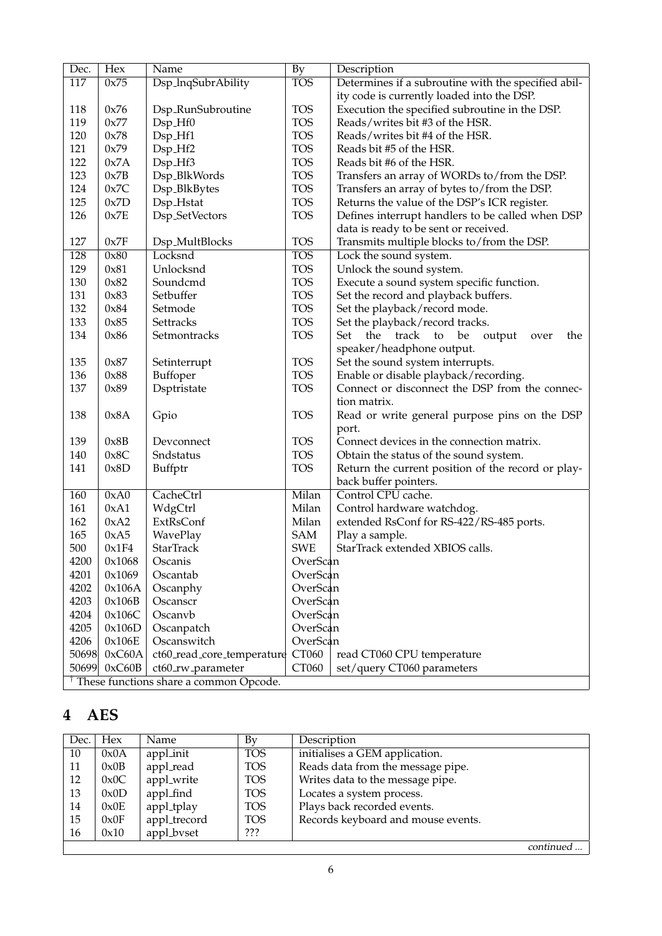| Dec.         | <b>Hex</b>       | Name                                                | <b>By</b>            | Description                                           |
|--------------|------------------|-----------------------------------------------------|----------------------|-------------------------------------------------------|
| 117          | 0x75             | Dsp_InqSubrAbility                                  | <b>TOS</b>           | Determines if a subroutine with the specified abil-   |
|              |                  |                                                     |                      | ity code is currently loaded into the DSP.            |
| 118          | 0x76             | Dsp_RunSubroutine                                   | <b>TOS</b>           | Execution the specified subroutine in the DSP.        |
| 119          | 0x77             | Dsp_Hf0                                             | <b>TOS</b>           | Reads/writes bit #3 of the HSR.                       |
| 120          | 0x78             | Dsp_Hf1                                             | <b>TOS</b>           | Reads/writes bit #4 of the HSR.                       |
| 121          | 0x79             | $Dsp_Hf2$                                           | <b>TOS</b>           | Reads bit #5 of the HSR.                              |
| 122          | 0x7A             | Dsp_Hf3                                             | <b>TOS</b>           | Reads bit #6 of the HSR.                              |
| 123          | 0x7B             | Dsp_BlkWords                                        | <b>TOS</b>           | Transfers an array of WORDs to/from the DSP.          |
| 124          | 0x7C             | Dsp_BlkBytes                                        | <b>TOS</b>           | Transfers an array of bytes to/from the DSP.          |
| 125          | 0x7D             | Dsp_Hstat                                           | <b>TOS</b>           | Returns the value of the DSP's ICR register.          |
| 126          | 0x7E             | Dsp_SetVectors                                      | <b>TOS</b>           | Defines interrupt handlers to be called when DSP      |
|              |                  |                                                     |                      | data is ready to be sent or received.                 |
| 127          | 0x7F             | Dsp_MultBlocks                                      | <b>TOS</b>           | Transmits multiple blocks to/from the DSP.            |
| 128          | 0x80             | Locksnd                                             | <b>TOS</b>           | Lock the sound system.                                |
| 129          | 0x81             | Unlocksnd                                           | <b>TOS</b>           | Unlock the sound system.                              |
| 130          | 0x82             | Soundcmd                                            | <b>TOS</b>           | Execute a sound system specific function.             |
| 131          | 0x83             | Setbuffer                                           | <b>TOS</b>           | Set the record and playback buffers.                  |
| 132          | 0x84             | Setmode                                             | <b>TOS</b>           | Set the playback/record mode.                         |
| 133          | 0x85             | Settracks                                           | <b>TOS</b>           | Set the playback/record tracks.                       |
| 134          | 0x86             | Setmontracks                                        | <b>TOS</b>           | the track<br>Set<br>to<br>be<br>output<br>the<br>over |
|              |                  |                                                     |                      | speaker/headphone output.                             |
| 135          | 0x87             | Setinterrupt                                        | <b>TOS</b>           | Set the sound system interrupts.                      |
| 136          | 0x88             | Buffoper                                            | <b>TOS</b>           | Enable or disable playback/recording.                 |
| 137          | 0x89             | Dsptristate                                         | <b>TOS</b>           | Connect or disconnect the DSP from the connec-        |
|              |                  |                                                     |                      | tion matrix.                                          |
| 138          | 0x8A             | Gpio                                                | <b>TOS</b>           | Read or write general purpose pins on the DSP         |
|              |                  |                                                     |                      | port.                                                 |
| 139          | 0x8B             | Devconnect                                          | <b>TOS</b>           | Connect devices in the connection matrix.             |
| 140          | 0x8C             | Sndstatus                                           | <b>TOS</b>           | Obtain the status of the sound system.                |
| 141          | 0x8D             | Buffptr                                             | <b>TOS</b>           | Return the current position of the record or play-    |
|              |                  |                                                     |                      | back buffer pointers.                                 |
| 160          | 0xA0             | CacheCtrl                                           | Milan                | Control CPU cache.                                    |
| 161          | 0xA1             | WdgCtrl                                             | Milan                | Control hardware watchdog.                            |
| 162          | 0xA2             | ExtRsConf                                           | Milan                | extended RsConf for RS-422/RS-485 ports.              |
| 165          | 0xA5             | WavePlay                                            | <b>SAM</b>           | Play a sample.                                        |
| 500          | 0x1F4            | <b>StarTrack</b>                                    | <b>SWE</b>           | StarTrack extended XBIOS calls.                       |
|              |                  |                                                     |                      |                                                       |
| 4200<br>4201 | 0x1068<br>0x1069 | Oscanis<br>Oscantab                                 | OverScan<br>OverScan |                                                       |
|              |                  |                                                     |                      |                                                       |
| 4202         | 0x106A           | Oscanphy<br>Oscanscr                                | OverScan             |                                                       |
| 4203         | 0x106B           |                                                     | OverScan             |                                                       |
| 4204         | 0x106C           | Oscanvb                                             | OverScan             |                                                       |
| 4205         | 0x106D           | Oscanpatch                                          | OverScan             |                                                       |
| 4206         | 0x106E           | Oscanswitch                                         | OverScan             |                                                       |
| 50698        | 0xC60A           | ct60_read_core_temperature                          | CT060                | read CT060 CPU temperature                            |
| 50699        | 0xC60B           | ct60_rw_parameter                                   | CT060                | set/query CT060 parameters                            |
|              |                  | <sup>†</sup> These functions share a common Opcode. |                      |                                                       |

# **4 AES**

| Dec. | Hex  | Name         | By         | Description                        |
|------|------|--------------|------------|------------------------------------|
| 10   | 0x0A | appl_init    | <b>TOS</b> | initialises a GEM application.     |
| 11   | 0x0B | appl_read    | <b>TOS</b> | Reads data from the message pipe.  |
| 12   | 0x0C | appl_write   | <b>TOS</b> | Writes data to the message pipe.   |
| 13   | 0x0D | appl_find    | <b>TOS</b> | Locates a system process.          |
| 14   | 0x0E | appl_tplay   | <b>TOS</b> | Plays back recorded events.        |
| 15   | 0x0F | appl_trecord | <b>TOS</b> | Records keyboard and mouse events. |
| 16   | 0x10 | appl_bvset   | ???        |                                    |
|      |      |              |            | continued.                         |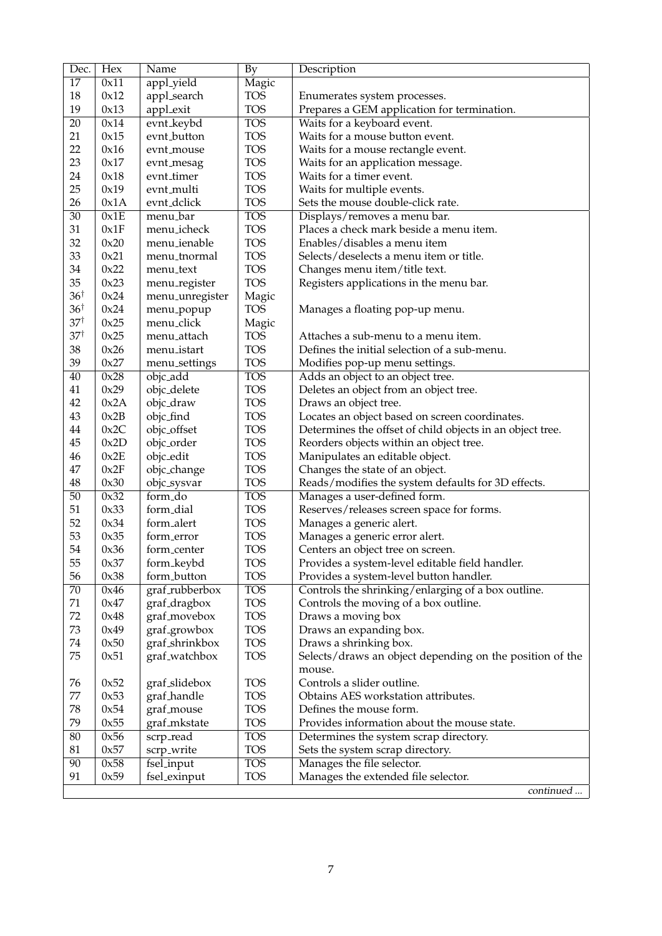| Dec.            | <b>Hex</b>   | Name                      | <b>By</b>                | Description                                               |
|-----------------|--------------|---------------------------|--------------------------|-----------------------------------------------------------|
| 17              | 0x11         | appl_yield                | Magic                    |                                                           |
| 18              | 0x12         | appl_search               | <b>TOS</b>               | Enumerates system processes.                              |
| 19              | 0x13         | appl_exit                 | <b>TOS</b>               | Prepares a GEM application for termination.               |
| 20              | 0x14         | evnt_keybd                | <b>TOS</b>               | Waits for a keyboard event.                               |
| 21              | 0x15         | evnt_button               | <b>TOS</b>               | Waits for a mouse button event.                           |
| 22              | 0x16         | evnt_mouse                | <b>TOS</b>               | Waits for a mouse rectangle event.                        |
| 23              | 0x17         | evnt_mesag                | <b>TOS</b>               | Waits for an application message.                         |
| 24              | 0x18         | evnt_timer                | <b>TOS</b>               | Waits for a timer event.                                  |
| 25              | 0x19         | evnt_multi                | <b>TOS</b>               | Waits for multiple events.                                |
| 26              | 0x1A         | evnt <sub>-dclick</sub>   | <b>TOS</b>               | Sets the mouse double-click rate.                         |
| $\overline{30}$ | 0x1E         | menu_bar                  | <b>TOS</b>               | Displays/removes a menu bar.                              |
| 31              | 0x1F         | menu_icheck               | <b>TOS</b>               | Places a check mark beside a menu item.                   |
| 32              | 0x20         | menu_ienable              | <b>TOS</b>               | Enables/disables a menu item                              |
| 33              | 0x21         | menu_tnormal              | <b>TOS</b>               | Selects/deselects a menu item or title.                   |
| 34              | 0x22         | menu_text                 | <b>TOS</b>               | Changes menu item/title text.                             |
| 35              | 0x23         | menu_register             | <b>TOS</b>               | Registers applications in the menu bar.                   |
| $36^{\dagger}$  | 0x24         | menu_unregister           | Magic                    |                                                           |
| $36^{\dagger}$  | 0x24         | menu_popup                | <b>TOS</b>               | Manages a floating pop-up menu.                           |
| $37^{\dagger}$  | 0x25         | menu_click                | Magic                    |                                                           |
| $37^{\dagger}$  | 0x25         | menu <sub>-attach</sub>   | <b>TOS</b>               | Attaches a sub-menu to a menu item.                       |
| 38              | 0x26         | menu_istart               | <b>TOS</b>               | Defines the initial selection of a sub-menu.              |
| 39              | 0x27         | menu_settings             | <b>TOS</b>               | Modifies pop-up menu settings.                            |
| $\overline{40}$ | 0x28         | objc_add                  | <b>TOS</b>               | Adds an object to an object tree.                         |
| 41              | 0x29         | objc_delete               | <b>TOS</b>               | Deletes an object from an object tree.                    |
| 42              | 0x2A         |                           | <b>TOS</b>               |                                                           |
| 43              | 0x2B         | objc_draw                 | <b>TOS</b>               | Draws an object tree.                                     |
|                 |              | objc_find                 | <b>TOS</b>               | Locates an object based on screen coordinates.            |
| 44              | 0x2C         | objc_offset               |                          | Determines the offset of child objects in an object tree. |
| 45              | 0x2D         | objc_order                | <b>TOS</b>               | Reorders objects within an object tree.                   |
| 46              | 0x2E         | objc_edit                 | <b>TOS</b>               | Manipulates an editable object.                           |
| 47<br>48        | 0x2F         | objc_change               | <b>TOS</b><br><b>TOS</b> | Changes the state of an object.                           |
|                 | 0x30<br>0x32 | objc_sysvar               |                          | Reads/modifies the system defaults for 3D effects.        |
| $\overline{50}$ |              | form_do                   | <b>TOS</b>               | Manages a user-defined form.                              |
| 51              | 0x33         | form_dial                 | <b>TOS</b>               | Reserves/releases screen space for forms.                 |
| 52              | 0x34         | form_alert                | <b>TOS</b>               | Manages a generic alert.                                  |
| 53              | 0x35         | form_error                | <b>TOS</b>               | Manages a generic error alert.                            |
| 54              | 0x36         | form_center               | <b>TOS</b>               | Centers an object tree on screen.                         |
| 55              | 0x37         | form_keybd                | <b>TOS</b>               | Provides a system-level editable field handler.           |
| 56              | 0x38         | form_button               | <b>TOS</b>               | Provides a system-level button handler.                   |
| 70              | 0x46         | graf_rubberbox            | <b>TOS</b>               | Controls the shrinking/enlarging of a box outline.        |
| 71              | 0x47         | graf <sub>-dragbox</sub>  | <b>TOS</b>               | Controls the moving of a box outline.                     |
| 72              | 0x48         | graf_movebox              | <b>TOS</b>               | Draws a moving box                                        |
| 73              | 0x49         | graf <sub>-</sub> growbox | <b>TOS</b>               | Draws an expanding box.                                   |
| 74              | 0x50         | graf_shrinkbox            | <b>TOS</b>               | Draws a shrinking box.                                    |
| 75              | 0x51         | graf_watchbox             | <b>TOS</b>               | Selects/draws an object depending on the position of the  |
| 76              | 0x52         | graf_slidebox             | <b>TOS</b>               | mouse.<br>Controls a slider outline.                      |
| 77              | 0x53         | graf_handle               | <b>TOS</b>               | Obtains AES workstation attributes.                       |
| 78              | 0x54         | graf_mouse                | <b>TOS</b>               | Defines the mouse form.                                   |
| 79              | 0x55         | graf_mkstate              | <b>TOS</b>               | Provides information about the mouse state.               |
| 80              | 0x56         |                           | <b>TOS</b>               |                                                           |
| 81              | 0x57         | scrp_read                 | <b>TOS</b>               | Determines the system scrap directory.                    |
| 90              | 0x58         | scrp_write                | <b>TOS</b>               | Sets the system scrap directory.                          |
| 91              | 0x59         | fsel_input                | <b>TOS</b>               | Manages the file selector.                                |
|                 |              | fsel_exinput              |                          | Manages the extended file selector.<br>continued          |
|                 |              |                           |                          |                                                           |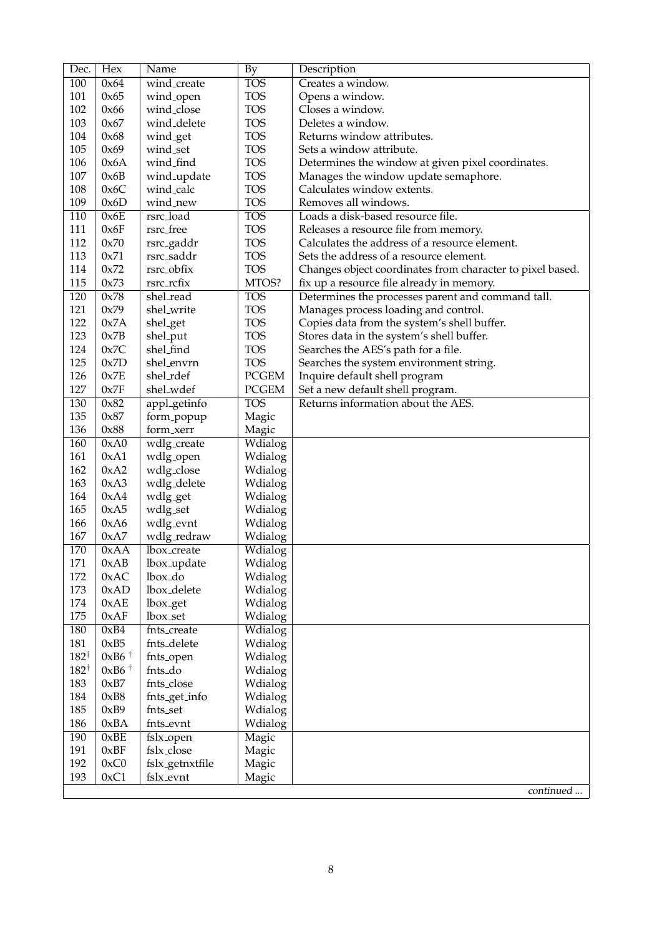| Dec.            | <b>Hex</b>                             | Name                   | <b>By</b>    | Description                                               |
|-----------------|----------------------------------------|------------------------|--------------|-----------------------------------------------------------|
| 100             | 0x64                                   | wind_create            | <b>TOS</b>   | Creates a window.                                         |
| 101             | 0x65                                   | wind_open              | <b>TOS</b>   | Opens a window.                                           |
| 102             | 0x66                                   | wind_close             | <b>TOS</b>   | Closes a window.                                          |
| 103             | 0x67                                   | wind_delete            | <b>TOS</b>   | Deletes a window.                                         |
| 104             | 0x68                                   | wind_get               | <b>TOS</b>   | Returns window attributes.                                |
| 105             | 0x69                                   | wind_set               | <b>TOS</b>   | Sets a window attribute.                                  |
| 106             | 0x6A                                   | wind_find              | <b>TOS</b>   | Determines the window at given pixel coordinates.         |
| 107             | 0x6B                                   | wind_update            | <b>TOS</b>   | Manages the window update semaphore.                      |
| 108             | 0x6C                                   | wind_calc              | <b>TOS</b>   | Calculates window extents.                                |
| 109             | 0x6D                                   | wind_new               | <b>TOS</b>   | Removes all windows.                                      |
| 110             | 0x6E                                   | rsrc_load              | <b>TOS</b>   | Loads a disk-based resource file.                         |
| 111             | 0x6F                                   | rsrc_free              | <b>TOS</b>   | Releases a resource file from memory.                     |
| 112             | 0x70                                   | rsrc <sub>-gaddr</sub> | <b>TOS</b>   | Calculates the address of a resource element.             |
| 113             | 0x71                                   | rsrc_saddr             | <b>TOS</b>   | Sets the address of a resource element.                   |
| 114             | 0x72                                   | rsrc_obfix             | <b>TOS</b>   | Changes object coordinates from character to pixel based. |
| 115             | 0x73                                   | rsrc_rcfix             | MTOS?        | fix up a resource file already in memory.                 |
| 120             | 0x78                                   | shel_read              | <b>TOS</b>   | Determines the processes parent and command tall.         |
| 121             | 0x79                                   | shel_write             | <b>TOS</b>   | Manages process loading and control.                      |
| 122             | 0x7A                                   | shel_get               | <b>TOS</b>   | Copies data from the system's shell buffer.               |
| 123             | 0x7B                                   | shel_put               | <b>TOS</b>   | Stores data in the system's shell buffer.                 |
| 124             | 0x7C                                   | shel_find              | <b>TOS</b>   | Searches the AES's path for a file.                       |
| 125             | 0x7D                                   | shel_envrn             | <b>TOS</b>   |                                                           |
| 126             | 0x7E                                   | shel_rdef              | <b>PCGEM</b> | Searches the system environment string.                   |
| 127             | 0x7F                                   |                        | <b>PCGEM</b> | Inquire default shell program                             |
|                 |                                        | shel_wdef              |              | Set a new default shell program.                          |
| 130             | 0x82                                   | appl_getinfo           | <b>TOS</b>   | Returns information about the AES.                        |
| 135             | 0x87                                   | form_popup             | Magic        |                                                           |
| 136             | 0x88                                   | form_xerr              | Magic        |                                                           |
| 160             | 0xA0                                   | wdlg_create            | Wdialog      |                                                           |
| 161             | 0xA1                                   | wdlg_open              | Wdialog      |                                                           |
| 162             | 0xA2                                   | wdlg_close             | Wdialog      |                                                           |
| 163             | 0xA3                                   | wdlg_delete            | Wdialog      |                                                           |
| 164             | 0xA4                                   | wdlg_get               | Wdialog      |                                                           |
| 165             | 0xA5                                   | wdlg_set               | Wdialog      |                                                           |
| 166             | 0xA6                                   | wdlg_evnt              | Wdialog      |                                                           |
| 167             | 0xA7                                   | wdlg_redraw            | Wdialog      |                                                           |
| 170             | 0xAA                                   | lbox_create            | Wdialog      |                                                           |
| 171             | 0xAB                                   | lbox_update            | Wdialog      |                                                           |
| 172             | 0xAC                                   | lbox <sub>do</sub>     | Wdialog      |                                                           |
| 173             | 0xAD                                   | lbox_delete            | Wdialog      |                                                           |
| 174             | 0xAE                                   | lbox <sub>-get</sub>   | Wdialog      |                                                           |
| 175             | 0xAF                                   | lbox_set               | Wdialog      |                                                           |
| 180             | 0xB4                                   | fnts_create            | Wdialog      |                                                           |
| 181             | 0xB5                                   | fnts_delete            | Wdialog      |                                                           |
| $182^{\dagger}$ | $0xB6$ <sup><math>\dagger</math></sup> | fnts <sub>-open</sub>  | Wdialog      |                                                           |
| $182^{\dagger}$ | $0xB6$ <sup><math>\dagger</math></sup> | fnts_do                | Wdialog      |                                                           |
| 183             | 0xB7                                   | fnts_close             | Wdialog      |                                                           |
| 184             | 0xB8                                   | fnts_get_info          | Wdialog      |                                                           |
| 185             | 0xB9                                   | fnts_set               | Wdialog      |                                                           |
| 186             | 0xBA                                   | fnts_evnt              | Wdialog      |                                                           |
| 190             | 0xBE                                   | fslx_open              | Magic        |                                                           |
| 191             | 0xBF                                   | fslx_close             | Magic        |                                                           |
| 192             | 0xC0                                   | fslx_getnxtfile        | Magic        |                                                           |
| 193             | 0xC1                                   | fslx_evnt              | Magic        |                                                           |
|                 |                                        |                        |              | continued                                                 |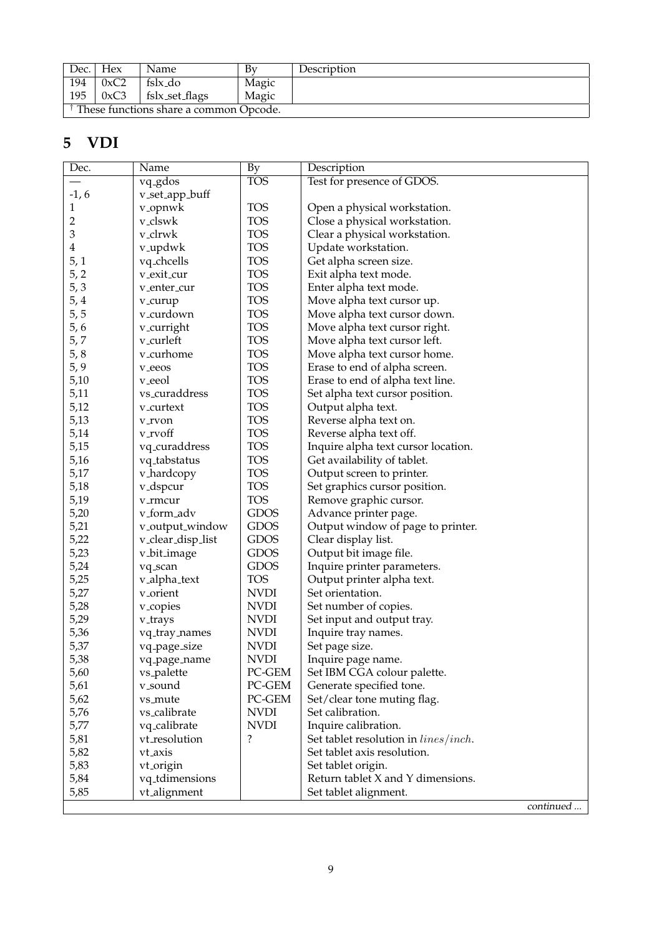| Dec. | Hex                                    | Name           | Bv    | Description |  |  |
|------|----------------------------------------|----------------|-------|-------------|--|--|
| 194  | 0xC2                                   | fslx_do        | Magic |             |  |  |
| 195  | 0xC3                                   | fslx_set_flags | Magic |             |  |  |
|      | These functions share a common Opcode. |                |       |             |  |  |

## **5 VDI**

| Dec.         | Name                  | <b>By</b>   | Description                                  |
|--------------|-----------------------|-------------|----------------------------------------------|
|              | vq <sub>-gdos</sub>   | <b>TOS</b>  | Test for presence of GDOS.                   |
| $-1, 6$      | v_set_app_buff        |             |                                              |
| $\mathbf{1}$ | v <sub>-</sub> opnwk  | <b>TOS</b>  | Open a physical workstation.                 |
| 2            | v_clswk               | <b>TOS</b>  | Close a physical workstation.                |
| 3            | v_clrwk               | <b>TOS</b>  | Clear a physical workstation.                |
| 4            | v <sub>-</sub> updwk  | <b>TOS</b>  | Update workstation.                          |
| 5,1          | vq_chcells            | <b>TOS</b>  | Get alpha screen size.                       |
| 5, 2         | v_exit_cur            | <b>TOS</b>  | Exit alpha text mode.                        |
| 5, 3         | v_enter_cur           | <b>TOS</b>  | Enter alpha text mode.                       |
| 5, 4         | v_curup               | <b>TOS</b>  | Move alpha text cursor up.                   |
| 5,5          | v_curdown             | <b>TOS</b>  | Move alpha text cursor down.                 |
| 5, 6         | v_curright            | <b>TOS</b>  | Move alpha text cursor right.                |
| 5, 7         | v_curleft             | <b>TOS</b>  | Move alpha text cursor left.                 |
| 5, 8         | v_curhome             | <b>TOS</b>  | Move alpha text cursor home.                 |
| 5, 9         | v_eeos                | <b>TOS</b>  | Erase to end of alpha screen.                |
| 5,10         | v_eeol                | <b>TOS</b>  | Erase to end of alpha text line.             |
| 5,11         | vs_curaddress         | <b>TOS</b>  | Set alpha text cursor position.              |
| 5,12         | v_curtext             | <b>TOS</b>  | Output alpha text.                           |
| 5,13         | v_rvon                | <b>TOS</b>  | Reverse alpha text on.                       |
| 5,14         | v_rvoff               | <b>TOS</b>  | Reverse alpha text off.                      |
| 5,15         | vq_curaddress         | <b>TOS</b>  | Inquire alpha text cursor location.          |
| 5,16         | vq_tabstatus          | <b>TOS</b>  | Get availability of tablet.                  |
| 5,17         | v_hardcopy            | <b>TOS</b>  | Output screen to printer.                    |
| 5,18         | v <sub>-</sub> dspcur | <b>TOS</b>  | Set graphics cursor position.                |
| 5,19         | v_rmcur               | <b>TOS</b>  | Remove graphic cursor.                       |
| 5,20         | v_form_adv            | <b>GDOS</b> | Advance printer page.                        |
| 5,21         | v_output_window       | <b>GDOS</b> | Output window of page to printer.            |
| 5,22         | v_clear_disp_list     | <b>GDOS</b> | Clear display list.                          |
| 5,23         | v_bit_image           | <b>GDOS</b> | Output bit image file.                       |
| 5,24         | vq_scan               | <b>GDOS</b> | Inquire printer parameters.                  |
| 5,25         | v_alpha_text          | <b>TOS</b>  | Output printer alpha text.                   |
| 5,27         | v_orient              | <b>NVDI</b> | Set orientation.                             |
| 5,28         | v <sub>-copies</sub>  | <b>NVDI</b> | Set number of copies.                        |
| 5,29         | v_trays               | <b>NVDI</b> | Set input and output tray.                   |
| 5,36         | vq_tray_names         | <b>NVDI</b> | Inquire tray names.                          |
| 5,37         | vq_page_size          | <b>NVDI</b> | Set page size.                               |
| 5,38         | vq_page_name          | <b>NVDI</b> | Inquire page name.                           |
| 5,60         | vs_palette            | PC-GEM      | Set IBM CGA colour palette.                  |
| 5,61         | v_sound               | PC-GEM      | Generate specified tone.                     |
| 5,62         | vs_mute               | PC-GEM      | Set/clear tone muting flag.                  |
| 5,76         | vs_calibrate          | <b>NVDI</b> | Set calibration.                             |
| 5,77         | vq_calibrate          | <b>NVDI</b> | Inquire calibration.                         |
| 5,81         | vt_resolution         | ?           | Set tablet resolution in <i>lines/inch</i> . |
| 5,82         | vt_axis               |             | Set tablet axis resolution.                  |
| 5,83         | vt_origin             |             | Set tablet origin.                           |
| 5,84         | vq_tdimensions        |             | Return tablet X and Y dimensions.            |
| 5,85         | vt_alignment          |             | Set tablet alignment.                        |
|              |                       |             | continued                                    |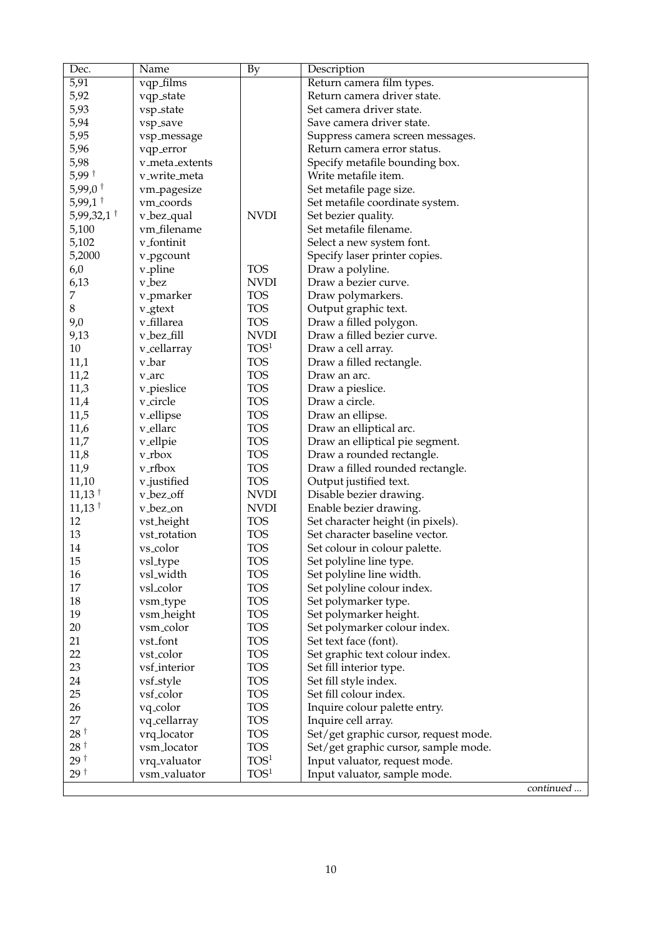| Dec.                     | Name                     | $\overline{By}$  | Description                                                         |
|--------------------------|--------------------------|------------------|---------------------------------------------------------------------|
| 5,91                     | vqp_films                |                  | Return camera film types.                                           |
| 5,92                     | vqp_state                |                  | Return camera driver state.                                         |
| 5,93                     | vsp_state                |                  | Set camera driver state.                                            |
| 5,94                     | vsp_save                 |                  | Save camera driver state.                                           |
| 5,95                     | vsp_message              |                  | Suppress camera screen messages.                                    |
| 5,96                     | vqp_error                |                  | Return camera error status.                                         |
| 5,98                     | v_meta_extents           |                  | Specify metafile bounding box.                                      |
| $5,99$ <sup>†</sup>      | v_write_meta             |                  | Write metafile item.                                                |
| $5,99,0$ <sup>†</sup>    | vm_pagesize              |                  | Set metafile page size.                                             |
| $5,99,1$ <sup>†</sup>    | vm_coords                |                  | Set metafile coordinate system.                                     |
| $5,99,32,1$ <sup>†</sup> | v_bez_qual               | <b>NVDI</b>      | Set bezier quality.                                                 |
| 5,100                    | vm_filename              |                  | Set metafile filename.                                              |
| 5,102                    | v_fontinit               |                  | Select a new system font.                                           |
| 5,2000                   | v_pgcount                |                  | Specify laser printer copies.                                       |
| 6,0                      | v <sub>-</sub> pline     | <b>TOS</b>       | Draw a polyline.                                                    |
| 6,13                     | v_bez                    | <b>NVDI</b>      | Draw a bezier curve.                                                |
| 7                        | v <sub>-</sub> pmarker   | <b>TOS</b>       | Draw polymarkers.                                                   |
| 8                        | v <sub>-gtext</sub>      | <b>TOS</b>       | Output graphic text.                                                |
| 9,0                      | v_fillarea               | <b>TOS</b>       | Draw a filled polygon.                                              |
| 9,13                     | v_bez_fill               | <b>NVDI</b>      | Draw a filled bezier curve.                                         |
| 10                       | v_cellarray              | TOS <sup>1</sup> | Draw a cell array.                                                  |
| 11,1                     | v_bar                    | <b>TOS</b>       | Draw a filled rectangle.                                            |
| 11,2                     | v_arc                    | <b>TOS</b>       | Draw an arc.                                                        |
| 11,3                     | v_pieslice               | <b>TOS</b>       | Draw a pieslice.                                                    |
| 11,4                     | v_circle                 | <b>TOS</b>       | Draw a circle.                                                      |
| 11,5                     | v_ellipse                | <b>TOS</b>       | Draw an ellipse.                                                    |
| 11,6                     | v_ellarc                 | <b>TOS</b>       |                                                                     |
| 11,7                     | v_ellpie                 | <b>TOS</b>       | Draw an elliptical arc.                                             |
| 11,8                     | $vr$ box                 | <b>TOS</b>       | Draw an elliptical pie segment.                                     |
| 11,9                     | v_rfbox                  | <b>TOS</b>       | Draw a rounded rectangle.<br>Draw a filled rounded rectangle.       |
| 11,10                    |                          | <b>TOS</b>       |                                                                     |
| $11,13$ <sup>†</sup>     | v_justified<br>v_bez_off | <b>NVDI</b>      | Output justified text.<br>Disable bezier drawing.                   |
| $11,13$ <sup>†</sup>     |                          | <b>NVDI</b>      |                                                                     |
| 12                       | v_bez_on                 | <b>TOS</b>       | Enable bezier drawing.                                              |
| 13                       | vst_height               | <b>TOS</b>       | Set character height (in pixels).<br>Set character baseline vector. |
|                          | vst_rotation             | <b>TOS</b>       |                                                                     |
| 14                       | vs_color                 |                  | Set colour in colour palette.                                       |
| 15                       | vsl_type                 | <b>TOS</b>       | Set polyline line type.                                             |
| 16                       | vsl_width                | <b>TOS</b>       | Set polyline line width.                                            |
| 17                       | vsl_color                | <b>TOS</b>       | Set polyline colour index.                                          |
| 18                       | vsm_type                 | <b>TOS</b>       | Set polymarker type.                                                |
| 19                       | vsm_height               | <b>TOS</b>       | Set polymarker height.                                              |
| 20                       | vsm_color                | <b>TOS</b>       | Set polymarker colour index.                                        |
| 21                       | vst_font                 | <b>TOS</b>       | Set text face (font).                                               |
| 22                       | vst_color                | <b>TOS</b>       | Set graphic text colour index.                                      |
| 23                       | vsf_interior             | <b>TOS</b>       | Set fill interior type.                                             |
| 24                       | vsf_style                | <b>TOS</b>       | Set fill style index.                                               |
| 25                       | vsf_color                | <b>TOS</b>       | Set fill colour index.                                              |
| 26                       | vq_color                 | <b>TOS</b>       | Inquire colour palette entry.                                       |
| 27                       | vq_cellarray             | <b>TOS</b>       | Inquire cell array.                                                 |
| $28^{\dagger}$           | vrq_locator              | <b>TOS</b>       | Set/get graphic cursor, request mode.                               |
| $28^{\dagger}$           | vsm_locator              | <b>TOS</b>       | Set/get graphic cursor, sample mode.                                |
| 29 <sup>†</sup>          | vrq_valuator             | TOS <sup>1</sup> | Input valuator, request mode.                                       |
| 29 <sup>†</sup>          | vsm_valuator             | TOS <sup>1</sup> | Input valuator, sample mode.                                        |
|                          |                          |                  | continued                                                           |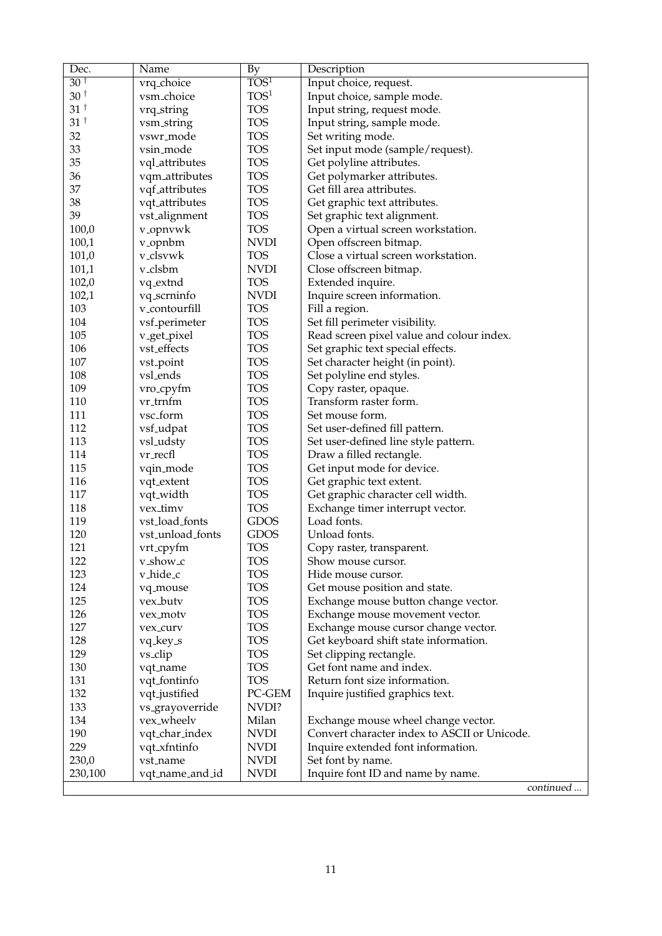| Dec.            | Name                         | <b>By</b>            | Description                                                             |
|-----------------|------------------------------|----------------------|-------------------------------------------------------------------------|
| 30 <sup>†</sup> | vrq_choice                   | TOS <sup>1</sup>     | Input choice, request.                                                  |
| $30^+$          | vsm_choice                   | TOS <sup>1</sup>     | Input choice, sample mode.                                              |
| $31^{\dagger}$  | vrq_string                   | <b>TOS</b>           | Input string, request mode.                                             |
| 31 <sup>†</sup> | vsm_string                   | <b>TOS</b>           | Input string, sample mode.                                              |
| 32              | vswr_mode                    | <b>TOS</b>           | Set writing mode.                                                       |
| 33              | vsin_mode                    | <b>TOS</b>           | Set input mode (sample/request).                                        |
| 35              | vql_attributes               | <b>TOS</b>           | Get polyline attributes.                                                |
| 36              | vqm_attributes               | <b>TOS</b>           | Get polymarker attributes.                                              |
| 37              | vqf <sub>attributes</sub>    | <b>TOS</b>           | Get fill area attributes.                                               |
| 38              | vqt_attributes               | <b>TOS</b>           | Get graphic text attributes.                                            |
| 39              | vst_alignment                | <b>TOS</b>           | Set graphic text alignment.                                             |
| 100,0           | v <sub>-</sub> opnvwk        | <b>TOS</b>           | Open a virtual screen workstation.                                      |
| 100,1           | v <sub>-</sub> opnbm         | <b>NVDI</b>          | Open offscreen bitmap.                                                  |
| 101,0           | v_clsvwk                     | <b>TOS</b>           | Close a virtual screen workstation.                                     |
| 101,1           | v_clsbm                      | <b>NVDI</b>          | Close offscreen bitmap.                                                 |
| 102,0           | vq_extnd                     | <b>TOS</b>           | Extended inquire.                                                       |
| 102,1           | vq_scrninfo                  | <b>NVDI</b>          | Inquire screen information.                                             |
| 103             | v_contourfill                | <b>TOS</b>           | Fill a region.                                                          |
| 104             | vsf <sub>-perimeter</sub>    | <b>TOS</b>           | Set fill perimeter visibility.                                          |
| 105             | v_get_pixel                  | <b>TOS</b>           | Read screen pixel value and colour index.                               |
| 106             | vst_effects                  | <b>TOS</b>           | Set graphic text special effects.                                       |
| 107             | vst_point                    | <b>TOS</b>           | Set character height (in point).                                        |
| 108             | vsl_ends                     | <b>TOS</b>           | Set polyline end styles.                                                |
| 109             | vro_cpyfm                    | <b>TOS</b>           | Copy raster, opaque.                                                    |
| 110             | vr_trnfm                     | <b>TOS</b>           | Transform raster form.                                                  |
| 111             | vsc_form                     | <b>TOS</b>           | Set mouse form.                                                         |
| 112             | vsf <sub>-udpat</sub>        | <b>TOS</b>           | Set user-defined fill pattern.                                          |
| 113             | vsl_udsty                    | <b>TOS</b>           | Set user-defined line style pattern.                                    |
| 114             | vr_recfl                     | <b>TOS</b>           | Draw a filled rectangle.                                                |
| 115             | vqin_mode                    | <b>TOS</b>           | Get input mode for device.                                              |
| 116             | vqt_extent                   | <b>TOS</b>           | Get graphic text extent.                                                |
| 117             | vqt_width                    | <b>TOS</b>           | Get graphic character cell width.                                       |
| 118             | vex_timv                     | <b>TOS</b>           | Exchange timer interrupt vector.                                        |
| 119             | vst_load_fonts               | <b>GDOS</b>          | Load fonts.                                                             |
| 120             | vst_unload_fonts             | <b>GDOS</b>          | Unload fonts.                                                           |
| 121             |                              | <b>TOS</b>           |                                                                         |
| 122             | vrt_cpyfm                    | <b>TOS</b>           | Copy raster, transparent.                                               |
| 123             | v_show_c<br>v_hide_c         | <b>TOS</b>           | Show mouse cursor.<br>Hide mouse cursor.                                |
| 124             |                              | <b>TOS</b>           | Get mouse position and state.                                           |
| 125             | vq_mouse<br>vex_butv         | <b>TOS</b>           |                                                                         |
| 126             |                              | <b>TOS</b>           | Exchange mouse button change vector.                                    |
| 127             | vex_motv                     | <b>TOS</b>           | Exchange mouse movement vector.<br>Exchange mouse cursor change vector. |
|                 | vex_curv                     |                      |                                                                         |
| 128             | vq_key_s                     | <b>TOS</b>           | Get keyboard shift state information.                                   |
| 129             | vs_clip                      | <b>TOS</b>           | Set clipping rectangle.                                                 |
| 130             | vqt_name                     | <b>TOS</b>           | Get font name and index.                                                |
| 131             | vqt_fontinfo                 | <b>TOS</b><br>PC-GEM | Return font size information.                                           |
| 132             | vqt_justified                |                      | Inquire justified graphics text.                                        |
| 133             | vs <sub>-</sub> grayoverride | NVDI?                |                                                                         |
| 134             | vex_wheelv                   | Milan                | Exchange mouse wheel change vector.                                     |
| 190             | vqt_char_index               | <b>NVDI</b>          | Convert character index to ASCII or Unicode.                            |
| 229             | vqt_xfntinfo                 | <b>NVDI</b>          | Inquire extended font information.                                      |
| 230,0           | vst_name                     | <b>NVDI</b>          | Set font by name.                                                       |
| 230,100         | vqt_name_and_id              | <b>NVDI</b>          | Inquire font ID and name by name.                                       |
|                 |                              |                      | continued                                                               |